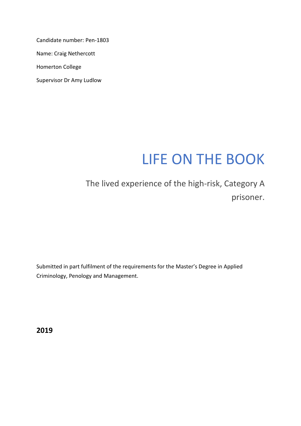Candidate number: Pen-1803

Name: Craig Nethercott

Homerton College

Supervisor Dr Amy Ludlow

# LIFE ON THE BOOK

# The lived experience of the high-risk, Category A prisoner.

Submitted in part fulfilment of the requirements for the Master's Degree in Applied Criminology, Penology and Management.

**2019**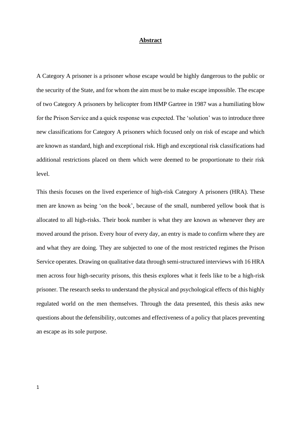#### **Abstract**

A Category A prisoner is a prisoner whose escape would be highly dangerous to the public or the security of the State, and for whom the aim must be to make escape impossible. The escape of two Category A prisoners by helicopter from HMP Gartree in 1987 was a humiliating blow for the Prison Service and a quick response was expected. The 'solution' was to introduce three new classifications for Category A prisoners which focused only on risk of escape and which are known as standard, high and exceptional risk. High and exceptional risk classifications had additional restrictions placed on them which were deemed to be proportionate to their risk level.

This thesis focuses on the lived experience of high-risk Category A prisoners (HRA). These men are known as being 'on the book', because of the small, numbered yellow book that is allocated to all high-risks. Their book number is what they are known as whenever they are moved around the prison. Every hour of every day, an entry is made to confirm where they are and what they are doing. They are subjected to one of the most restricted regimes the Prison Service operates. Drawing on qualitative data through semi-structured interviews with 16 HRA men across four high-security prisons, this thesis explores what it feels like to be a high-risk prisoner. The research seeks to understand the physical and psychological effects of this highly regulated world on the men themselves. Through the data presented, this thesis asks new questions about the defensibility, outcomes and effectiveness of a policy that places preventing an escape as its sole purpose.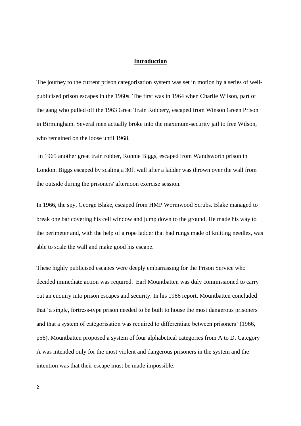#### **Introduction**

The journey to the current prison categorisation system was set in motion by a series of wellpublicised prison escapes in the 1960s. The first was in 1964 when Charlie Wilson, part of the gang who pulled off the 1963 Great Train Robbery, escaped from Winson Green Prison in Birmingham. Several men actually broke into the maximum-security jail to free Wilson, who remained on the loose until 1968.

In 1965 another great train robber, Ronnie Biggs, escaped from Wandsworth prison in London. Biggs escaped by scaling a 30ft wall after a ladder was thrown over the wall from the outside during the prisoners' afternoon exercise session.

In 1966, the spy, George Blake, escaped from HMP Wormwood Scrubs. Blake managed to break one bar covering his cell window and jump down to the ground. He made his way to the perimeter and, with the help of a rope ladder that had rungs made of knitting needles, was able to scale the wall and make good his escape.

These highly publicised escapes were deeply embarrassing for the Prison Service who decided immediate action was required. Earl Mountbatten was duly commissioned to carry out an enquiry into prison escapes and security. In his 1966 report, Mountbatten concluded that 'a single, fortress-type prison needed to be built to house the most dangerous prisoners and that a system of categorisation was required to differentiate between prisoners' (1966, p56). Mountbatten proposed a system of four alphabetical categories from A to D. Category A was intended only for the most violent and dangerous prisoners in the system and the intention was that their escape must be made impossible.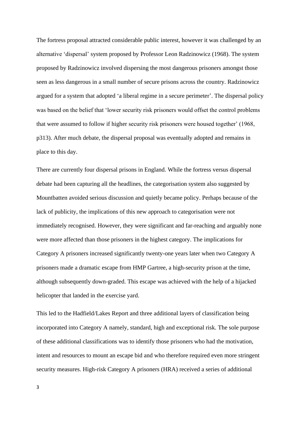The fortress proposal attracted considerable public interest, however it was challenged by an alternative 'dispersal' system proposed by Professor Leon Radzinowicz (1968). The system proposed by Radzinowicz involved dispersing the most dangerous prisoners amongst those seen as less dangerous in a small number of secure prisons across the country. Radzinowicz argued for a system that adopted 'a liberal regime in a secure perimeter'. The dispersal policy was based on the belief that 'lower security risk prisoners would offset the control problems that were assumed to follow if higher security risk prisoners were housed together' (1968, p313). After much debate, the dispersal proposal was eventually adopted and remains in place to this day.

There are currently four dispersal prisons in England. While the fortress versus dispersal debate had been capturing all the headlines, the categorisation system also suggested by Mountbatten avoided serious discussion and quietly became policy. Perhaps because of the lack of publicity, the implications of this new approach to categorisation were not immediately recognised. However, they were significant and far-reaching and arguably none were more affected than those prisoners in the highest category. The implications for Category A prisoners increased significantly twenty-one years later when two Category A prisoners made a dramatic escape from HMP Gartree, a high-security prison at the time, although subsequently down-graded. This escape was achieved with the help of a hijacked helicopter that landed in the exercise yard.

This led to the Hadfield/Lakes Report and three additional layers of classification being incorporated into Category A namely, standard, high and exceptional risk. The sole purpose of these additional classifications was to identify those prisoners who had the motivation, intent and resources to mount an escape bid and who therefore required even more stringent security measures. High-risk Category A prisoners (HRA) received a series of additional

3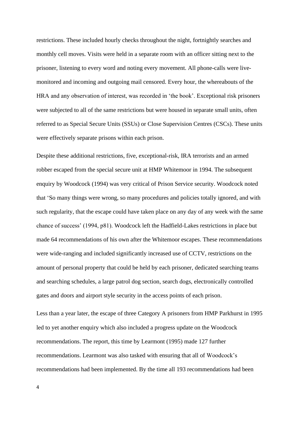restrictions. These included hourly checks throughout the night, fortnightly searches and monthly cell moves. Visits were held in a separate room with an officer sitting next to the prisoner, listening to every word and noting every movement. All phone-calls were livemonitored and incoming and outgoing mail censored. Every hour, the whereabouts of the HRA and any observation of interest, was recorded in 'the book'. Exceptional risk prisoners were subjected to all of the same restrictions but were housed in separate small units, often referred to as Special Secure Units (SSUs) or Close Supervision Centres (CSCs). These units were effectively separate prisons within each prison.

Despite these additional restrictions, five, exceptional-risk, IRA terrorists and an armed robber escaped from the special secure unit at HMP Whitemoor in 1994. The subsequent enquiry by Woodcock (1994) was very critical of Prison Service security. Woodcock noted that 'So many things were wrong, so many procedures and policies totally ignored, and with such regularity, that the escape could have taken place on any day of any week with the same chance of success' (1994, p81). Woodcock left the Hadfield-Lakes restrictions in place but made 64 recommendations of his own after the Whitemoor escapes. These recommendations were wide-ranging and included significantly increased use of CCTV, restrictions on the amount of personal property that could be held by each prisoner, dedicated searching teams and searching schedules, a large patrol dog section, search dogs, electronically controlled gates and doors and airport style security in the access points of each prison.

Less than a year later, the escape of three Category A prisoners from HMP Parkhurst in 1995 led to yet another enquiry which also included a progress update on the Woodcock recommendations. The report, this time by Learmont (1995) made 127 further recommendations. Learmont was also tasked with ensuring that all of Woodcock's recommendations had been implemented. By the time all 193 recommendations had been

4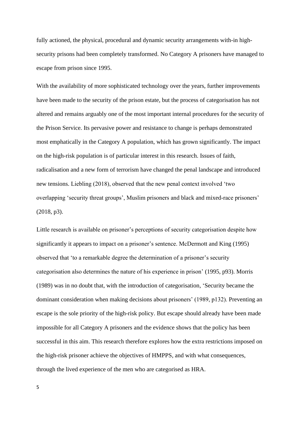fully actioned, the physical, procedural and dynamic security arrangements with-in highsecurity prisons had been completely transformed. No Category A prisoners have managed to escape from prison since 1995.

With the availability of more sophisticated technology over the years, further improvements have been made to the security of the prison estate, but the process of categorisation has not altered and remains arguably one of the most important internal procedures for the security of the Prison Service. Its pervasive power and resistance to change is perhaps demonstrated most emphatically in the Category A population, which has grown significantly. The impact on the high-risk population is of particular interest in this research. Issues of faith, radicalisation and a new form of terrorism have changed the penal landscape and introduced new tensions. Liebling (2018), observed that the new penal context involved 'two overlapping 'security threat groups', Muslim prisoners and black and mixed-race prisoners' (2018, p3).

Little research is available on prisoner's perceptions of security categorisation despite how significantly it appears to impact on a prisoner's sentence. McDermott and King (1995) observed that 'to a remarkable degree the determination of a prisoner's security categorisation also determines the nature of his experience in prison' (1995, p93). Morris (1989) was in no doubt that, with the introduction of categorisation, 'Security became the dominant consideration when making decisions about prisoners' (1989, p132). Preventing an escape is the sole priority of the high-risk policy. But escape should already have been made impossible for all Category A prisoners and the evidence shows that the policy has been successful in this aim. This research therefore explores how the extra restrictions imposed on the high-risk prisoner achieve the objectives of HMPPS, and with what consequences, through the lived experience of the men who are categorised as HRA.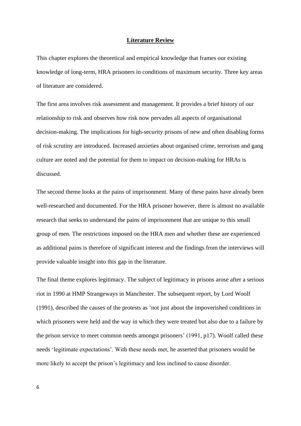#### **Literature Review**

This chapter explores the theoretical and empirical knowledge that frames our existing knowledge of long-term, HRA prisoners in conditions of maximum security. Three key areas of literature are considered.

The first area involves risk assessment and management. It provides a brief history of our relationship to risk and observes how risk now pervades all aspects of organisational decision-making. The implications for high-security prisons of new and often disabling forms of risk scrutiny are introduced. Increased anxieties about organised crime, terrorism and gang culture are noted and the potential for them to impact on decision-making for HRAs is discussed.

The second theme looks at the pains of imprisonment. Many of these pains have already been well-researched and documented. For the HRA prisoner however, there is almost no available research that seeks to understand the pains of imprisonment that are unique to this small group of men. The restrictions imposed on the HRA men and whether these are experienced as additional pains is therefore of significant interest and the findings from the interviews will provide valuable insight into this gap in the literature.

The final theme explores legitimacy. The subject of legitimacy in prisons arose after a serious riot in 1990 at HMP Strangeways in Manchester. The subsequent report, by Lord Woolf (1991), described the causes of the protests as 'not just about the impoverished conditions in which prisoners were held and the way in which they were treated but also due to a failure by the prison service to meet common needs amongst prisoners' (1991, p17). Woolf called these needs 'legitimate expectations'. With these needs met, he asserted that prisoners would be more likely to accept the prison's legitimacy and less inclined to cause disorder.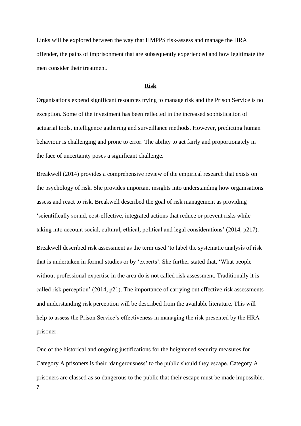Links will be explored between the way that HMPPS risk-assess and manage the HRA offender, the pains of imprisonment that are subsequently experienced and how legitimate the men consider their treatment.

#### **Risk**

Organisations expend significant resources trying to manage risk and the Prison Service is no exception. Some of the investment has been reflected in the increased sophistication of actuarial tools, intelligence gathering and surveillance methods. However, predicting human behaviour is challenging and prone to error. The ability to act fairly and proportionately in the face of uncertainty poses a significant challenge.

Breakwell (2014) provides a comprehensive review of the empirical research that exists on the psychology of risk. She provides important insights into understanding how organisations assess and react to risk. Breakwell described the goal of risk management as providing 'scientifically sound, cost-effective, integrated actions that reduce or prevent risks while taking into account social, cultural, ethical, political and legal considerations' (2014, p217). Breakwell described risk assessment as the term used 'to label the systematic analysis of risk that is undertaken in formal studies or by 'experts'. She further stated that, 'What people without professional expertise in the area do is not called risk assessment. Traditionally it is called risk perception' (2014, p21). The importance of carrying out effective risk assessments and understanding risk perception will be described from the available literature. This will help to assess the Prison Service's effectiveness in managing the risk presented by the HRA prisoner.

7 One of the historical and ongoing justifications for the heightened security measures for Category A prisoners is their 'dangerousness' to the public should they escape. Category A prisoners are classed as so dangerous to the public that their escape must be made impossible.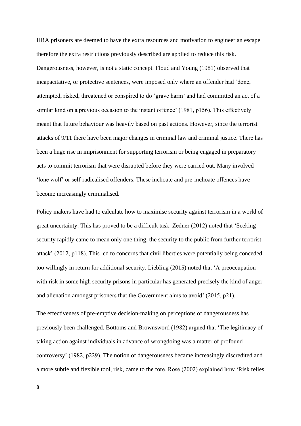HRA prisoners are deemed to have the extra resources and motivation to engineer an escape therefore the extra restrictions previously described are applied to reduce this risk. Dangerousness, however, is not a static concept. Floud and Young (1981) observed that incapacitative, or protective sentences, were imposed only where an offender had 'done, attempted, risked, threatened or conspired to do 'grave harm' and had committed an act of a similar kind on a previous occasion to the instant offence' (1981, p156). This effectively meant that future behaviour was heavily based on past actions. However, since the terrorist attacks of 9/11 there have been major changes in criminal law and criminal justice. There has been a huge rise in imprisonment for supporting terrorism or being engaged in preparatory acts to commit terrorism that were disrupted before they were carried out. Many involved 'lone wolf' or self-radicalised offenders. These inchoate and pre-inchoate offences have become increasingly criminalised.

Policy makers have had to calculate how to maximise security against terrorism in a world of great uncertainty. This has proved to be a difficult task. Zedner (2012) noted that 'Seeking security rapidly came to mean only one thing, the security to the public from further terrorist attack' (2012, p118). This led to concerns that civil liberties were potentially being conceded too willingly in return for additional security. Liebling (2015) noted that 'A preoccupation with risk in some high security prisons in particular has generated precisely the kind of anger and alienation amongst prisoners that the Government aims to avoid' (2015, p21).

The effectiveness of pre-emptive decision-making on perceptions of dangerousness has previously been challenged. Bottoms and Brownsword (1982) argued that 'The legitimacy of taking action against individuals in advance of wrongdoing was a matter of profound controversy' (1982, p229). The notion of dangerousness became increasingly discredited and a more subtle and flexible tool, risk, came to the fore. Rose (2002) explained how 'Risk relies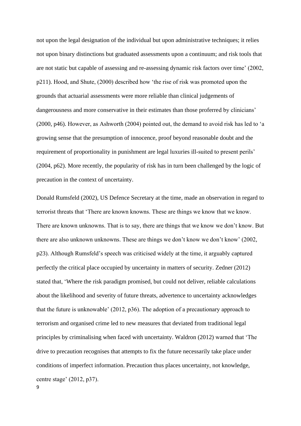not upon the legal designation of the individual but upon administrative techniques; it relies not upon binary distinctions but graduated assessments upon a continuum; and risk tools that are not static but capable of assessing and re-assessing dynamic risk factors over time' (2002, p211). Hood, and Shute, (2000) described how 'the rise of risk was promoted upon the grounds that actuarial assessments were more reliable than clinical judgements of dangerousness and more conservative in their estimates than those proferred by clinicians' (2000, p46). However, as Ashworth (2004) pointed out, the demand to avoid risk has led to 'a growing sense that the presumption of innocence, proof beyond reasonable doubt and the requirement of proportionality in punishment are legal luxuries ill-suited to present perils' (2004, p62). More recently, the popularity of risk has in turn been challenged by the logic of precaution in the context of uncertainty.

Donald Rumsfeld (2002), US Defence Secretary at the time, made an observation in regard to terrorist threats that 'There are known knowns. These are things we know that we know. There are known unknowns. That is to say, there are things that we know we don't know. But there are also unknown unknowns. These are things we don't know we don't know' (2002, p23). Although Rumsfeld's speech was criticised widely at the time, it arguably captured perfectly the critical place occupied by uncertainty in matters of security. Zedner (2012) stated that, 'Where the risk paradigm promised, but could not deliver, reliable calculations about the likelihood and severity of future threats, advertence to uncertainty acknowledges that the future is unknowable' (2012, p36). The adoption of a precautionary approach to terrorism and organised crime led to new measures that deviated from traditional legal principles by criminalising when faced with uncertainty. Waldron (2012) warned that 'The drive to precaution recognises that attempts to fix the future necessarily take place under conditions of imperfect information. Precaution thus places uncertainty, not knowledge, centre stage' (2012, p37).

9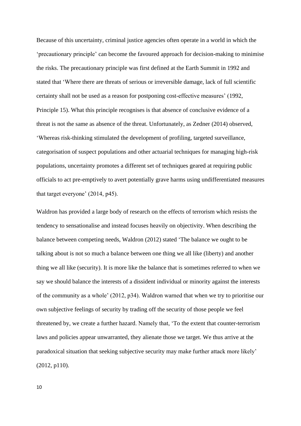Because of this uncertainty, criminal justice agencies often operate in a world in which the 'precautionary principle' can become the favoured approach for decision-making to minimise the risks. The precautionary principle was first defined at the Earth Summit in 1992 and stated that 'Where there are threats of serious or irreversible damage, lack of full scientific certainty shall not be used as a reason for postponing cost-effective measures' (1992, Principle 15). What this principle recognises is that absence of conclusive evidence of a threat is not the same as absence of the threat. Unfortunately, as Zedner (2014) observed, 'Whereas risk-thinking stimulated the development of profiling, targeted surveillance, categorisation of suspect populations and other actuarial techniques for managing high-risk populations, uncertainty promotes a different set of techniques geared at requiring public officials to act pre-emptively to avert potentially grave harms using undifferentiated measures that target everyone' (2014, p45).

Waldron has provided a large body of research on the effects of terrorism which resists the tendency to sensationalise and instead focuses heavily on objectivity. When describing the balance between competing needs, Waldron (2012) stated 'The balance we ought to be talking about is not so much a balance between one thing we all like (liberty) and another thing we all like (security). It is more like the balance that is sometimes referred to when we say we should balance the interests of a dissident individual or minority against the interests of the community as a whole' (2012, p34). Waldron warned that when we try to prioritise our own subjective feelings of security by trading off the security of those people we feel threatened by, we create a further hazard. Namely that, 'To the extent that counter-terrorism laws and policies appear unwarranted, they alienate those we target. We thus arrive at the paradoxical situation that seeking subjective security may make further attack more likely' (2012, p110).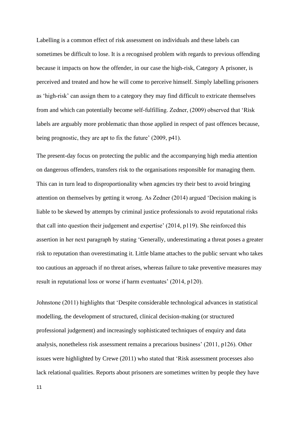Labelling is a common effect of risk assessment on individuals and these labels can sometimes be difficult to lose. It is a recognised problem with regards to previous offending because it impacts on how the offender, in our case the high-risk, Category A prisoner, is perceived and treated and how he will come to perceive himself. Simply labelling prisoners as 'high-risk' can assign them to a category they may find difficult to extricate themselves from and which can potentially become self-fulfilling. Zedner, (2009) observed that 'Risk labels are arguably more problematic than those applied in respect of past offences because, being prognostic, they are apt to fix the future' (2009, p41).

The present-day focus on protecting the public and the accompanying high media attention on dangerous offenders, transfers risk to the organisations responsible for managing them. This can in turn lead to disproportionality when agencies try their best to avoid bringing attention on themselves by getting it wrong. As Zedner (2014) argued 'Decision making is liable to be skewed by attempts by criminal justice professionals to avoid reputational risks that call into question their judgement and expertise' (2014, p119). She reinforced this assertion in her next paragraph by stating 'Generally, underestimating a threat poses a greater risk to reputation than overestimating it. Little blame attaches to the public servant who takes too cautious an approach if no threat arises, whereas failure to take preventive measures may result in reputational loss or worse if harm eventuates' (2014, p120).

Johnstone (2011) highlights that 'Despite considerable technological advances in statistical modelling, the development of structured, clinical decision-making (or structured professional judgement) and increasingly sophisticated techniques of enquiry and data analysis, nonetheless risk assessment remains a precarious business' (2011, p126). Other issues were highlighted by Crewe (2011) who stated that 'Risk assessment processes also lack relational qualities. Reports about prisoners are sometimes written by people they have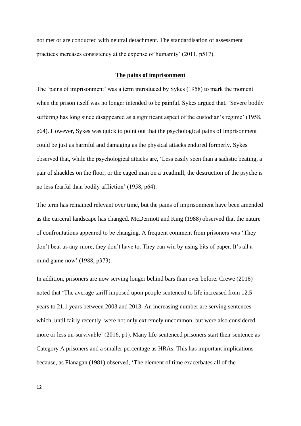not met or are conducted with neutral detachment. The standardisation of assessment practices increases consistency at the expense of humanity' (2011, p517).

#### **The pains of imprisonment**

The 'pains of imprisonment' was a term introduced by Sykes (1958) to mark the moment when the prison itself was no longer intended to be painful. Sykes argued that, 'Severe bodily suffering has long since disappeared as a significant aspect of the custodian's regime' (1958, p64). However, Sykes was quick to point out that the psychological pains of imprisonment could be just as harmful and damaging as the physical attacks endured formerly. Sykes observed that, while the psychological attacks are, 'Less easily seen than a sadistic beating, a pair of shackles on the floor, or the caged man on a treadmill, the destruction of the psyche is no less fearful than bodily affliction' (1958, p64).

The term has remained relevant over time, but the pains of imprisonment have been amended as the carceral landscape has changed. McDermott and King (1988) observed that the nature of confrontations appeared to be changing. A frequent comment from prisoners was 'They don't beat us any-more, they don't have to. They can win by using bits of paper. It's all a mind game now' (1988, p373).

In addition, prisoners are now serving longer behind bars than ever before. Crewe (2016) noted that 'The average tariff imposed upon people sentenced to life increased from 12.5 years to 21.1 years between 2003 and 2013. An increasing number are serving sentences which, until fairly recently, were not only extremely uncommon, but were also considered more or less un-survivable' (2016, p1). Many life-sentenced prisoners start their sentence as Category A prisoners and a smaller percentage as HRAs. This has important implications because, as Flanagan (1981) observed, 'The element of time exacerbates all of the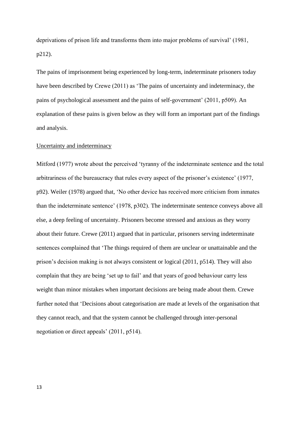deprivations of prison life and transforms them into major problems of survival' (1981, p212).

The pains of imprisonment being experienced by long-term, indeterminate prisoners today have been described by Crewe (2011) as 'The pains of uncertainty and indeterminacy, the pains of psychological assessment and the pains of self-government' (2011, p509). An explanation of these pains is given below as they will form an important part of the findings and analysis.

#### Uncertainty and indeterminacy

Mitford (1977) wrote about the perceived 'tyranny of the indeterminate sentence and the total arbitrariness of the bureaucracy that rules every aspect of the prisoner's existence' (1977, p92). Weiler (1978) argued that, 'No other device has received more criticism from inmates than the indeterminate sentence' (1978, p302). The indeterminate sentence conveys above all else, a deep feeling of uncertainty. Prisoners become stressed and anxious as they worry about their future. Crewe (2011) argued that in particular, prisoners serving indeterminate sentences complained that 'The things required of them are unclear or unattainable and the prison's decision making is not always consistent or logical (2011, p514). They will also complain that they are being 'set up to fail' and that years of good behaviour carry less weight than minor mistakes when important decisions are being made about them. Crewe further noted that 'Decisions about categorisation are made at levels of the organisation that they cannot reach, and that the system cannot be challenged through inter-personal negotiation or direct appeals' (2011, p514).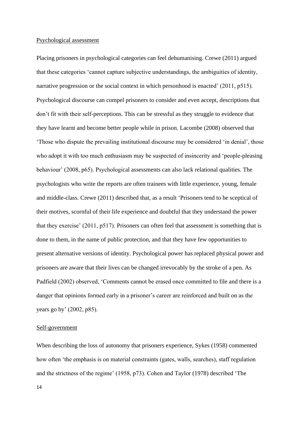#### Psychological assessment

Placing prisoners in psychological categories can feel dehumanising. Crewe (2011) argued that these categories 'cannot capture subjective understandings, the ambiguities of identity, narrative progression or the social context in which personhood is enacted' (2011, p515). Psychological discourse can compel prisoners to consider and even accept, descriptions that don't fit with their self-perceptions. This can be stressful as they struggle to evidence that they have learnt and become better people while in prison. Lacombe (2008) observed that 'Those who dispute the prevailing institutional discourse may be considered 'in denial', those who adopt it with too much enthusiasm may be suspected of insincerity and 'people-pleasing behaviour' (2008, p65). Psychological assessments can also lack relational qualities. The psychologists who write the reports are often trainees with little experience, young, female and middle-class. Crewe (2011) described that, as a result 'Prisoners tend to be sceptical of their motives, scornful of their life experience and doubtful that they understand the power that they exercise' (2011, p517). Prisoners can often feel that assessment is something that is done to them, in the name of public protection, and that they have few opportunities to present alternative versions of identity. Psychological power has replaced physical power and prisoners are aware that their lives can be changed irrevocably by the stroke of a pen. As Padfield (2002) observed, 'Comments cannot be erased once committed to file and there is a danger that opinions formed early in a prisoner's career are reinforced and built on as the years go by' (2002, p85).

#### Self-government

When describing the loss of autonomy that prisoners experience, Sykes (1958) commented how often 'the emphasis is on material constraints (gates, walls, searches), staff regulation and the strictness of the regime' (1958, p73). Cohen and Taylor (1978) described 'The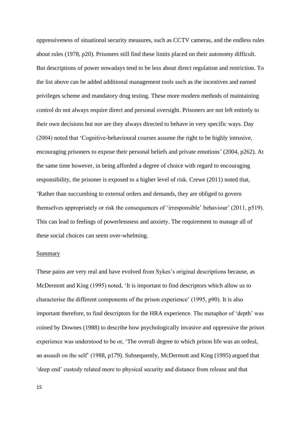oppressiveness of situational security measures, such as CCTV cameras, and the endless rules about rules (1978, p20). Prisoners still find these limits placed on their autonomy difficult. But descriptions of power nowadays tend to be less about direct regulation and restriction. To the list above can be added additional management tools such as the incentives and earned privileges scheme and mandatory drug testing. These more modern methods of maintaining control do not always require direct and personal oversight. Prisoners are not left entirely to their own decisions but nor are they always directed to behave in very specific ways. Day (2004) noted that 'Cognitive-behavioural courses assume the right to be highly intrusive, encouraging prisoners to expose their personal beliefs and private emotions' (2004, p262). At the same time however, in being afforded a degree of choice with regard to encouraging responsibility, the prisoner is exposed to a higher level of risk. Crewe (2011) noted that, 'Rather than succumbing to external orders and demands, they are obliged to govern themselves appropriately or risk the consequences of 'irresponsible' behaviour' (2011, p519). This can lead to feelings of powerlessness and anxiety. The requirement to manage all of these social choices can seem over-whelming.

# Summary

These pains are very real and have evolved from Sykes's original descriptions because, as McDermott and King (1995) noted, 'It is important to find descriptors which allow us to characterise the different components of the prison experience' (1995, p90). It is also important therefore, to find descriptors for the HRA experience. The metaphor of 'depth' was coined by Downes (1988) to describe how psychologically invasive and oppressive the prison experience was understood to be or, 'The overall degree to which prison life was an ordeal, an assault on the self' (1988, p179). Subsequently, McDermott and King (1995) argued that 'deep end' custody related more to physical security and distance from release and that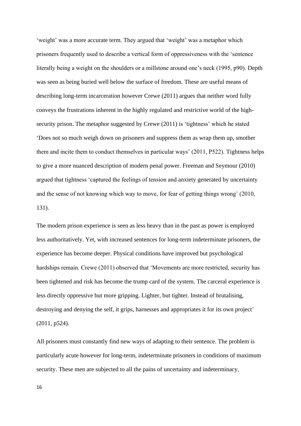'weight' was a more accurate term. They argued that 'weight' was a metaphor which prisoners frequently used to describe a vertical form of oppressiveness with the 'sentence literally being a weight on the shoulders or a millstone around one's neck (1995, p90). Depth was seen as being buried well below the surface of freedom. These are useful means of describing long-term incarceration however Crewe (2011) argues that neither word fully conveys the frustrations inherent in the highly regulated and restrictive world of the highsecurity prison. The metaphor suggested by Crewe (2011) is 'tightness' which he stated 'Does not so much weigh down on prisoners and suppress them as wrap them up, smother them and incite them to conduct themselves in particular ways' (2011, P522). Tightness helps to give a more nuanced description of modern penal power. Freeman and Seymour (2010) argued that tightness 'captured the feelings of tension and anxiety generated by uncertainty and the sense of not knowing which way to move, for fear of getting things wrong' (2010, 131).

The modern prison experience is seen as less heavy than in the past as power is employed less authoritatively. Yet, with increased sentences for long-term indeterminate prisoners, the experience has become deeper. Physical conditions have improved but psychological hardships remain. Crewe (2011) observed that 'Movements are more restricted, security has been tightened and risk has become the trump card of the system. The carceral experience is less directly oppressive but more gripping. Lighter, but tighter. Instead of brutalising, destroying and denying the self, it grips, harnesses and appropriates it for its own project' (2011, p524).

All prisoners must constantly find new ways of adapting to their sentence. The problem is particularly acute however for long-term, indeterminate prisoners in conditions of maximum security. These men are subjected to all the pains of uncertainty and indeterminacy,

16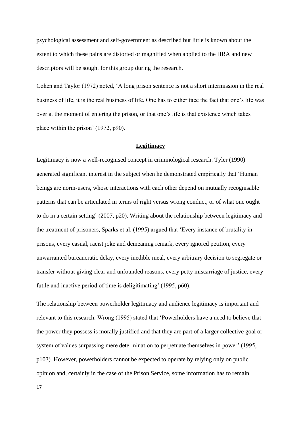psychological assessment and self-government as described but little is known about the extent to which these pains are distorted or magnified when applied to the HRA and new descriptors will be sought for this group during the research.

Cohen and Taylor (1972) noted, 'A long prison sentence is not a short intermission in the real business of life, it is the real business of life. One has to either face the fact that one's life was over at the moment of entering the prison, or that one's life is that existence which takes place within the prison' (1972, p90).

#### **Legitimacy**

Legitimacy is now a well-recognised concept in criminological research. Tyler (1990) generated significant interest in the subject when he demonstrated empirically that 'Human beings are norm-users, whose interactions with each other depend on mutually recognisable patterns that can be articulated in terms of right versus wrong conduct, or of what one ought to do in a certain setting' (2007, p20). Writing about the relationship between legitimacy and the treatment of prisoners, Sparks et al. (1995) argued that 'Every instance of brutality in prisons, every casual, racist joke and demeaning remark, every ignored petition, every unwarranted bureaucratic delay, every inedible meal, every arbitrary decision to segregate or transfer without giving clear and unfounded reasons, every petty miscarriage of justice, every futile and inactive period of time is deligitimating' (1995, p60).

The relationship between powerholder legitimacy and audience legitimacy is important and relevant to this research. Wrong (1995) stated that 'Powerholders have a need to believe that the power they possess is morally justified and that they are part of a larger collective goal or system of values surpassing mere determination to perpetuate themselves in power' (1995, p103). However, powerholders cannot be expected to operate by relying only on public opinion and, certainly in the case of the Prison Service, some information has to remain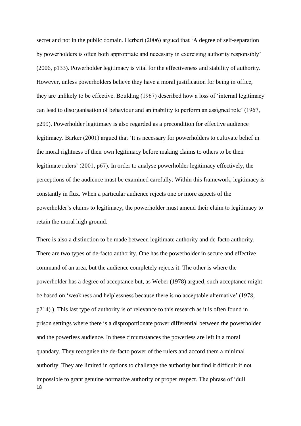secret and not in the public domain. Herbert (2006) argued that 'A degree of self-separation by powerholders is often both appropriate and necessary in exercising authority responsibly' (2006, p133). Powerholder legitimacy is vital for the effectiveness and stability of authority. However, unless powerholders believe they have a moral justification for being in office, they are unlikely to be effective. Boulding (1967) described how a loss of 'internal legitimacy can lead to disorganisation of behaviour and an inability to perform an assigned role' (1967, p299). Powerholder legitimacy is also regarded as a precondition for effective audience legitimacy. Barker (2001) argued that 'It is necessary for powerholders to cultivate belief in the moral rightness of their own legitimacy before making claims to others to be their legitimate rulers' (2001, p67). In order to analyse powerholder legitimacy effectively, the perceptions of the audience must be examined carefully. Within this framework, legitimacy is constantly in flux. When a particular audience rejects one or more aspects of the powerholder's claims to legitimacy, the powerholder must amend their claim to legitimacy to retain the moral high ground.

18 There is also a distinction to be made between legitimate authority and de-facto authority. There are two types of de-facto authority. One has the powerholder in secure and effective command of an area, but the audience completely rejects it. The other is where the powerholder has a degree of acceptance but, as Weber (1978) argued, such acceptance might be based on 'weakness and helplessness because there is no acceptable alternative' (1978, p214).). This last type of authority is of relevance to this research as it is often found in prison settings where there is a disproportionate power differential between the powerholder and the powerless audience. In these circumstances the powerless are left in a moral quandary. They recognise the de-facto power of the rulers and accord them a minimal authority. They are limited in options to challenge the authority but find it difficult if not impossible to grant genuine normative authority or proper respect. The phrase of 'dull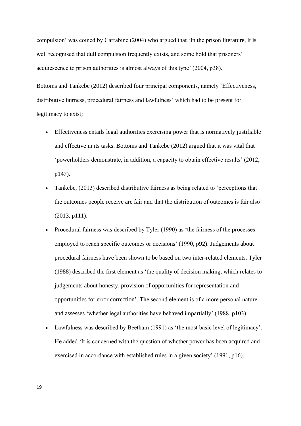compulsion' was coined by Carrabine (2004) who argued that 'In the prison literature, it is well recognised that dull compulsion frequently exists, and some hold that prisoners' acquiescence to prison authorities is almost always of this type' (2004, p38).

Bottoms and Tankebe (2012) described four principal components, namely 'Effectiveness, distributive fairness, procedural fairness and lawfulness' which had to be present for legitimacy to exist;

- Effectiveness entails legal authorities exercising power that is normatively justifiable and effective in its tasks. Bottoms and Tankebe (2012) argued that it was vital that 'powerholders demonstrate, in addition, a capacity to obtain effective results' (2012, p147).
- Tankebe, (2013) described distributive fairness as being related to 'perceptions that the outcomes people receive are fair and that the distribution of outcomes is fair also' (2013, p111).
- Procedural fairness was described by Tyler (1990) as 'the fairness of the processes employed to reach specific outcomes or decisions' (1990, p92). Judgements about procedural fairness have been shown to be based on two inter-related elements. Tyler (1988) described the first element as 'the quality of decision making, which relates to judgements about honesty, provision of opportunities for representation and opportunities for error correction'. The second element is of a more personal nature and assesses 'whether legal authorities have behaved impartially' (1988, p103).
- Lawfulness was described by Beetham (1991) as 'the most basic level of legitimacy'. He added 'It is concerned with the question of whether power has been acquired and exercised in accordance with established rules in a given society' (1991, p16).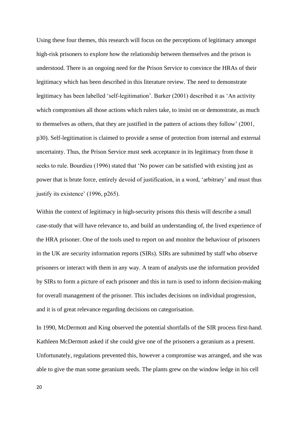Using these four themes, this research will focus on the perceptions of legitimacy amongst high-risk prisoners to explore how the relationship between themselves and the prison is understood. There is an ongoing need for the Prison Service to convince the HRAs of their legitimacy which has been described in this literature review. The need to demonstrate legitimacy has been labelled 'self-legitimation'. Barker (2001) described it as 'An activity which compromises all those actions which rulers take, to insist on or demonstrate, as much to themselves as others, that they are justified in the pattern of actions they follow' (2001, p30). Self-legitimation is claimed to provide a sense of protection from internal and external uncertainty. Thus, the Prison Service must seek acceptance in its legitimacy from those it seeks to rule. Bourdieu (1996) stated that 'No power can be satisfied with existing just as power that is brute force, entirely devoid of justification, in a word, 'arbitrary' and must thus justify its existence' (1996, p265).

Within the context of legitimacy in high-security prisons this thesis will describe a small case-study that will have relevance to, and build an understanding of, the lived experience of the HRA prisoner. One of the tools used to report on and monitor the behaviour of prisoners in the UK are security information reports (SIRs). SIRs are submitted by staff who observe prisoners or interact with them in any way. A team of analysts use the information provided by SIRs to form a picture of each prisoner and this in turn is used to inform decision-making for overall management of the prisoner. This includes decisions on individual progression, and it is of great relevance regarding decisions on categorisation.

In 1990, McDermott and King observed the potential shortfalls of the SIR process first-hand. Kathleen McDermott asked if she could give one of the prisoners a geranium as a present. Unfortunately, regulations prevented this, however a compromise was arranged, and she was able to give the man some geranium seeds. The plants grew on the window ledge in his cell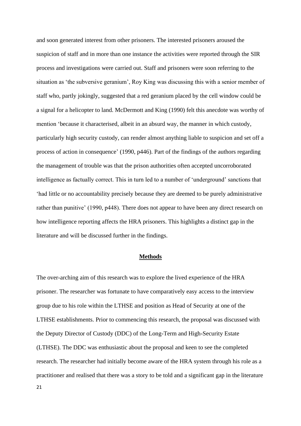and soon generated interest from other prisoners. The interested prisoners aroused the suspicion of staff and in more than one instance the activities were reported through the SIR process and investigations were carried out. Staff and prisoners were soon referring to the situation as 'the subversive geranium', Roy King was discussing this with a senior member of staff who, partly jokingly, suggested that a red geranium placed by the cell window could be a signal for a helicopter to land. McDermott and King (1990) felt this anecdote was worthy of mention 'because it characterised, albeit in an absurd way, the manner in which custody, particularly high security custody, can render almost anything liable to suspicion and set off a process of action in consequence' (1990, p446). Part of the findings of the authors regarding the management of trouble was that the prison authorities often accepted uncorroborated intelligence as factually correct. This in turn led to a number of 'underground' sanctions that 'had little or no accountability precisely because they are deemed to be purely administrative rather than punitive' (1990, p448). There does not appear to have been any direct research on how intelligence reporting affects the HRA prisoners. This highlights a distinct gap in the literature and will be discussed further in the findings.

#### **Methods**

The over-arching aim of this research was to explore the lived experience of the HRA prisoner. The researcher was fortunate to have comparatively easy access to the interview group due to his role within the LTHSE and position as Head of Security at one of the LTHSE establishments. Prior to commencing this research, the proposal was discussed with the Deputy Director of Custody (DDC) of the Long-Term and High-Security Estate (LTHSE). The DDC was enthusiastic about the proposal and keen to see the completed research. The researcher had initially become aware of the HRA system through his role as a practitioner and realised that there was a story to be told and a significant gap in the literature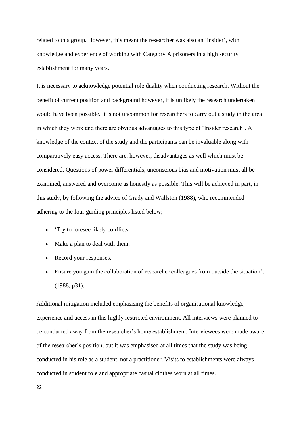related to this group. However, this meant the researcher was also an 'insider', with knowledge and experience of working with Category A prisoners in a high security establishment for many years.

It is necessary to acknowledge potential role duality when conducting research. Without the benefit of current position and background however, it is unlikely the research undertaken would have been possible. It is not uncommon for researchers to carry out a study in the area in which they work and there are obvious advantages to this type of 'Insider research'. A knowledge of the context of the study and the participants can be invaluable along with comparatively easy access. There are, however, disadvantages as well which must be considered. Questions of power differentials, unconscious bias and motivation must all be examined, answered and overcome as honestly as possible. This will be achieved in part, in this study, by following the advice of Grady and Wallston (1988), who recommended adhering to the four guiding principles listed below;

- 'Try to foresee likely conflicts.
- Make a plan to deal with them.
- Record your responses.
- Ensure you gain the collaboration of researcher colleagues from outside the situation'. (1988, p31).

Additional mitigation included emphasising the benefits of organisational knowledge, experience and access in this highly restricted environment. All interviews were planned to be conducted away from the researcher's home establishment. Interviewees were made aware of the researcher's position, but it was emphasised at all times that the study was being conducted in his role as a student, not a practitioner. Visits to establishments were always conducted in student role and appropriate casual clothes worn at all times.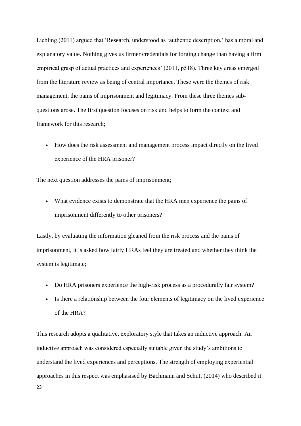Liebling (2011) argued that 'Research, understood as 'authentic description,' has a moral and explanatory value. Nothing gives us firmer credentials for forging change than having a firm empirical grasp of actual practices and experiences' (2011, p518). Three key areas emerged from the literature review as being of central importance. These were the themes of risk management, the pains of imprisonment and legitimacy. From these three themes subquestions arose. The first question focuses on risk and helps to form the context and framework for this research;

• How does the risk assessment and management process impact directly on the lived experience of the HRA prisoner?

The next question addresses the pains of imprisonment;

• What evidence exists to demonstrate that the HRA men experience the pains of imprisonment differently to other prisoners?

Lastly, by evaluating the information gleaned from the risk process and the pains of imprisonment, it is asked how fairly HRAs feel they are treated and whether they think the system is legitimate;

- Do HRA prisoners experience the high-risk process as a procedurally fair system?
- Is there a relationship between the four elements of legitimacy on the lived experience of the HRA?

23 This research adopts a qualitative, exploratory style that takes an inductive approach. An inductive approach was considered especially suitable given the study's ambitions to understand the lived experiences and perceptions. The strength of employing experiential approaches in this respect was emphasised by Bachmann and Schutt (2014) who described it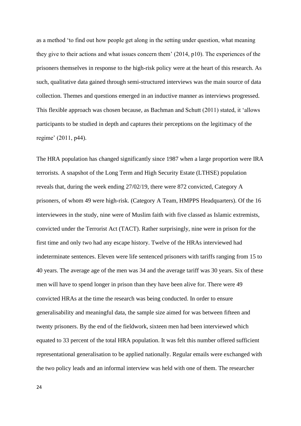as a method 'to find out how people get along in the setting under question, what meaning they give to their actions and what issues concern them' (2014, p10). The experiences of the prisoners themselves in response to the high-risk policy were at the heart of this research. As such, qualitative data gained through semi-structured interviews was the main source of data collection. Themes and questions emerged in an inductive manner as interviews progressed. This flexible approach was chosen because, as Bachman and Schutt (2011) stated, it 'allows participants to be studied in depth and captures their perceptions on the legitimacy of the regime' (2011, p44).

The HRA population has changed significantly since 1987 when a large proportion were IRA terrorists. A snapshot of the Long Term and High Security Estate (LTHSE) population reveals that, during the week ending 27/02/19, there were 872 convicted, Category A prisoners, of whom 49 were high-risk. (Category A Team, HMPPS Headquarters). Of the 16 interviewees in the study, nine were of Muslim faith with five classed as Islamic extremists, convicted under the Terrorist Act (TACT). Rather surprisingly, nine were in prison for the first time and only two had any escape history. Twelve of the HRAs interviewed had indeterminate sentences. Eleven were life sentenced prisoners with tariffs ranging from 15 to 40 years. The average age of the men was 34 and the average tariff was 30 years. Six of these men will have to spend longer in prison than they have been alive for. There were 49 convicted HRAs at the time the research was being conducted. In order to ensure generalisability and meaningful data, the sample size aimed for was between fifteen and twenty prisoners. By the end of the fieldwork, sixteen men had been interviewed which equated to 33 percent of the total HRA population. It was felt this number offered sufficient representational generalisation to be applied nationally. Regular emails were exchanged with the two policy leads and an informal interview was held with one of them. The researcher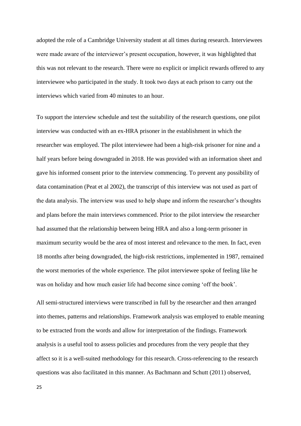adopted the role of a Cambridge University student at all times during research. Interviewees were made aware of the interviewer's present occupation, however, it was highlighted that this was not relevant to the research. There were no explicit or implicit rewards offered to any interviewee who participated in the study. It took two days at each prison to carry out the interviews which varied from 40 minutes to an hour.

To support the interview schedule and test the suitability of the research questions, one pilot interview was conducted with an ex-HRA prisoner in the establishment in which the researcher was employed. The pilot interviewee had been a high-risk prisoner for nine and a half years before being downgraded in 2018. He was provided with an information sheet and gave his informed consent prior to the interview commencing. To prevent any possibility of data contamination (Peat et al 2002), the transcript of this interview was not used as part of the data analysis. The interview was used to help shape and inform the researcher's thoughts and plans before the main interviews commenced. Prior to the pilot interview the researcher had assumed that the relationship between being HRA and also a long-term prisoner in maximum security would be the area of most interest and relevance to the men. In fact, even 18 months after being downgraded, the high-risk restrictions, implemented in 1987, remained the worst memories of the whole experience. The pilot interviewee spoke of feeling like he was on holiday and how much easier life had become since coming 'off the book'.

All semi-structured interviews were transcribed in full by the researcher and then arranged into themes, patterns and relationships. Framework analysis was employed to enable meaning to be extracted from the words and allow for interpretation of the findings. Framework analysis is a useful tool to assess policies and procedures from the very people that they affect so it is a well-suited methodology for this research. Cross-referencing to the research questions was also facilitated in this manner. As Bachmann and Schutt (2011) observed,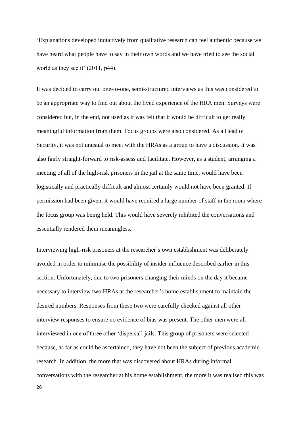'Explanations developed inductively from qualitative research can feel authentic because we have heard what people have to say in their own words and we have tried to see the social world as they see it' (2011, p44).

It was decided to carry out one-to-one, semi-structured interviews as this was considered to be an appropriate way to find out about the lived experience of the HRA men. Surveys were considered but, in the end, not used as it was felt that it would be difficult to get really meaningful information from them. Focus groups were also considered. As a Head of Security, it was not unusual to meet with the HRAs as a group to have a discussion. It was also fairly straight-forward to risk-assess and facilitate. However, as a student, arranging a meeting of all of the high-risk prisoners in the jail at the same time, would have been logistically and practically difficult and almost certainly would not have been granted. If permission had been given, it would have required a large number of staff in the room where the focus group was being held. This would have severely inhibited the conversations and essentially rendered them meaningless.

Interviewing high-risk prisoners at the researcher's own establishment was deliberately avoided in order to minimise the possibility of insider influence described earlier in this section. Unfortunately, due to two prisoners changing their minds on the day it became necessary to interview two HRAs at the researcher's home establishment to maintain the desired numbers. Responses from these two were carefully checked against all other interview responses to ensure no evidence of bias was present. The other men were all interviewed in one of three other 'dispersal' jails. This group of prisoners were selected because, as far as could be ascertained, they have not been the subject of previous academic research. In addition, the more that was discovered about HRAs during informal conversations with the researcher at his home establishment, the more it was realised this was

26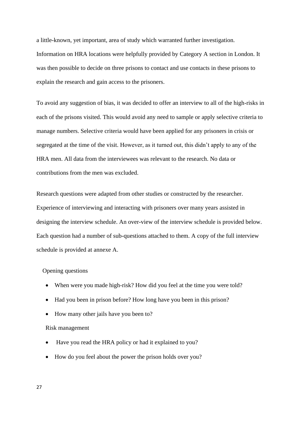a little-known, yet important, area of study which warranted further investigation. Information on HRA locations were helpfully provided by Category A section in London. It was then possible to decide on three prisons to contact and use contacts in these prisons to explain the research and gain access to the prisoners.

To avoid any suggestion of bias, it was decided to offer an interview to all of the high-risks in each of the prisons visited. This would avoid any need to sample or apply selective criteria to manage numbers. Selective criteria would have been applied for any prisoners in crisis or segregated at the time of the visit. However, as it turned out, this didn't apply to any of the HRA men. All data from the interviewees was relevant to the research. No data or contributions from the men was excluded.

Research questions were adapted from other studies or constructed by the researcher. Experience of interviewing and interacting with prisoners over many years assisted in designing the interview schedule. An over-view of the interview schedule is provided below. Each question had a number of sub-questions attached to them. A copy of the full interview schedule is provided at annexe A.

#### Opening questions

- When were you made high-risk? How did you feel at the time you were told?
- Had you been in prison before? How long have you been in this prison?
- How many other jails have you been to?

#### Risk management

- Have you read the HRA policy or had it explained to you?
- How do you feel about the power the prison holds over you?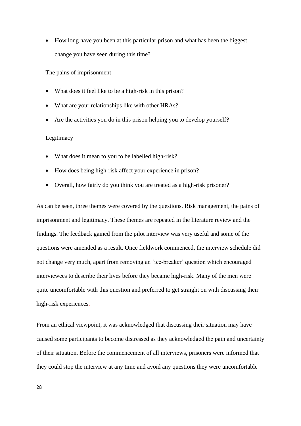• How long have you been at this particular prison and what has been the biggest change you have seen during this time?

The pains of imprisonment

- What does it feel like to be a high-risk in this prison?
- What are your relationships like with other HRAs?
- Are the activities you do in this prison helping you to develop yourself**?**

# Legitimacy

- What does it mean to you to be labelled high-risk?
- How does being high-risk affect your experience in prison?
- Overall, how fairly do you think you are treated as a high-risk prisoner?

As can be seen, three themes were covered by the questions. Risk management, the pains of imprisonment and legitimacy. These themes are repeated in the literature review and the findings. The feedback gained from the pilot interview was very useful and some of the questions were amended as a result. Once fieldwork commenced, the interview schedule did not change very much, apart from removing an 'ice-breaker' question which encouraged interviewees to describe their lives before they became high-risk. Many of the men were quite uncomfortable with this question and preferred to get straight on with discussing their high-risk experiences.

From an ethical viewpoint, it was acknowledged that discussing their situation may have caused some participants to become distressed as they acknowledged the pain and uncertainty of their situation. Before the commencement of all interviews, prisoners were informed that they could stop the interview at any time and avoid any questions they were uncomfortable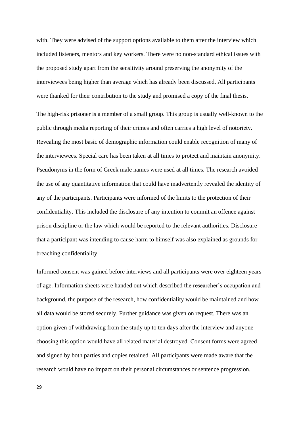with. They were advised of the support options available to them after the interview which included listeners, mentors and key workers. There were no non-standard ethical issues with the proposed study apart from the sensitivity around preserving the anonymity of the interviewees being higher than average which has already been discussed. All participants were thanked for their contribution to the study and promised a copy of the final thesis.

The high-risk prisoner is a member of a small group. This group is usually well-known to the public through media reporting of their crimes and often carries a high level of notoriety. Revealing the most basic of demographic information could enable recognition of many of the interviewees. Special care has been taken at all times to protect and maintain anonymity. Pseudonyms in the form of Greek male names were used at all times. The research avoided the use of any quantitative information that could have inadvertently revealed the identity of any of the participants. Participants were informed of the limits to the protection of their confidentiality. This included the disclosure of any intention to commit an offence against prison discipline or the law which would be reported to the relevant authorities. Disclosure that a participant was intending to cause harm to himself was also explained as grounds for breaching confidentiality.

Informed consent was gained before interviews and all participants were over eighteen years of age. Information sheets were handed out which described the researcher's occupation and background, the purpose of the research, how confidentiality would be maintained and how all data would be stored securely. Further guidance was given on request. There was an option given of withdrawing from the study up to ten days after the interview and anyone choosing this option would have all related material destroyed. Consent forms were agreed and signed by both parties and copies retained. All participants were made aware that the research would have no impact on their personal circumstances or sentence progression.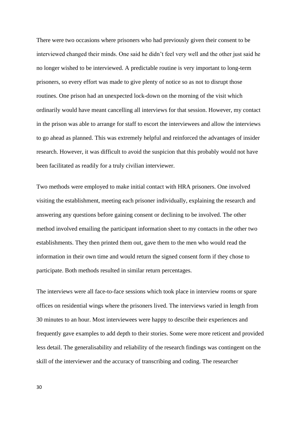There were two occasions where prisoners who had previously given their consent to be interviewed changed their minds. One said he didn't feel very well and the other just said he no longer wished to be interviewed. A predictable routine is very important to long-term prisoners, so every effort was made to give plenty of notice so as not to disrupt those routines. One prison had an unexpected lock-down on the morning of the visit which ordinarily would have meant cancelling all interviews for that session. However, my contact in the prison was able to arrange for staff to escort the interviewees and allow the interviews to go ahead as planned. This was extremely helpful and reinforced the advantages of insider research. However, it was difficult to avoid the suspicion that this probably would not have been facilitated as readily for a truly civilian interviewer.

Two methods were employed to make initial contact with HRA prisoners. One involved visiting the establishment, meeting each prisoner individually, explaining the research and answering any questions before gaining consent or declining to be involved. The other method involved emailing the participant information sheet to my contacts in the other two establishments. They then printed them out, gave them to the men who would read the information in their own time and would return the signed consent form if they chose to participate. Both methods resulted in similar return percentages.

The interviews were all face-to-face sessions which took place in interview rooms or spare offices on residential wings where the prisoners lived. The interviews varied in length from 30 minutes to an hour. Most interviewees were happy to describe their experiences and frequently gave examples to add depth to their stories. Some were more reticent and provided less detail. The generalisability and reliability of the research findings was contingent on the skill of the interviewer and the accuracy of transcribing and coding. The researcher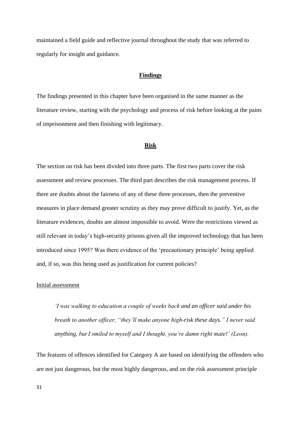maintained a field guide and reflective journal throughout the study that was referred to regularly for insight and guidance.

#### **Findings**

The findings presented in this chapter have been organised in the same manner as the literature review, starting with the psychology and process of risk before looking at the pains of imprisonment and then finishing with legitimacy.

#### **Risk**

The section on risk has been divided into three parts. The first two parts cover the risk assessment and review processes. The third part describes the risk management process. If there are doubts about the fairness of any of these three processes, then the preventive measures in place demand greater scrutiny as they may prove difficult to justify. Yet, as the literature evidences, doubts are almost impossible to avoid. Were the restrictions viewed as still relevant in today's high-security prisons given all the improved technology that has been introduced since 1995? Was there evidence of the 'precautionary principle' being applied and, if so, was this being used as justification for current policies?

#### Initial assessment

*'I was walking to education a couple of weeks back and an officer said under his breath to another officer, "they'll make anyone high-risk these days." I never said anything, but I smiled to myself and I thought, you're damn right mate!' (Leon).*

The features of offences identified for Category A are based on identifying the offenders who are not just dangerous, but the most highly dangerous, and on the risk assessment principle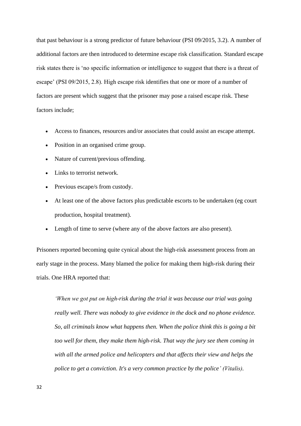that past behaviour is a strong predictor of future behaviour (PSI 09/2015, 3.2). A number of additional factors are then introduced to determine escape risk classification. Standard escape risk states there is 'no specific information or intelligence to suggest that there is a threat of escape' (PSI 09/2015, 2.8). High escape risk identifies that one or more of a number of factors are present which suggest that the prisoner may pose a raised escape risk. These factors include;

- Access to finances, resources and/or associates that could assist an escape attempt.
- Position in an organised crime group.
- Nature of current/previous offending.
- Links to terrorist network.
- Previous escape/s from custody.
- At least one of the above factors plus predictable escorts to be undertaken (eg court production, hospital treatment).
- Length of time to serve (where any of the above factors are also present).

Prisoners reported becoming quite cynical about the high-risk assessment process from an early stage in the process. Many blamed the police for making them high-risk during their trials. One HRA reported that:

*'When we got put on high-risk during the trial it was because our trial was going really well. There was nobody to give evidence in the dock and no phone evidence. So, all criminals know what happens then. When the police think this is going a bit too well for them, they make them high-risk. That way the jury see them coming in with all the armed police and helicopters and that affects their view and helps the police to get a conviction. It's a very common practice by the police' (Vitalis).*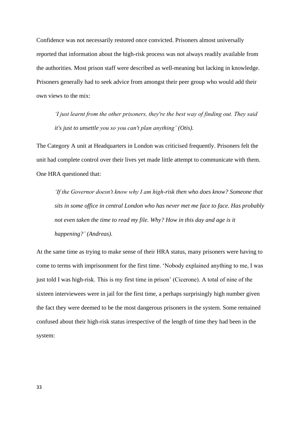Confidence was not necessarily restored once convicted. Prisoners almost universally reported that information about the high-risk process was not always readily available from the authorities. Most prison staff were described as well-meaning but lacking in knowledge. Prisoners generally had to seek advice from amongst their peer group who would add their own views to the mix:

*'I just learnt from the other prisoners, they're the best way of finding out. They said it's just to unsettle you so you can't plan anything' (Otis).*

The Category A unit at Headquarters in London was criticised frequently. Prisoners felt the unit had complete control over their lives yet made little attempt to communicate with them. One HRA questioned that:

*'If the Governor doesn't know why I am high-risk then who does know? Someone that sits in some office in central London who has never met me face to face. Has probably not even taken the time to read my file. Why? How in this day and age is it happening?' (Andreas).*

At the same time as trying to make sense of their HRA status, many prisoners were having to come to terms with imprisonment for the first time. 'Nobody explained anything to me, I was just told I was high-risk. This is my first time in prison' (Cicerone). A total of nine of the sixteen interviewees were in jail for the first time, a perhaps surprisingly high number given the fact they were deemed to be the most dangerous prisoners in the system. Some remained confused about their high-risk status irrespective of the length of time they had been in the system: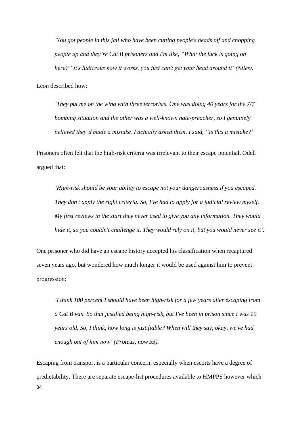*'You got people in this jail who have been cutting people's heads off and chopping people up and they're Cat B prisoners and I'm like, "What the fuck is going on here?" It's ludicrous how it works, you just can't get your head around it' (Niles).* 

Leon described how:

*'They put me on the wing with three terrorists. One was doing 40 years for the 7/7 bombing situation and the other was a well-known hate-preacher, so I genuinely believed they'd made a mistake. I actually asked them. I said, "Is this a mistake?"*

Prisoners often felt that the high-risk criteria was irrelevant to their escape potential. Odell argued that:

*'High-risk should be your ability to escape not your dangerousness if you escaped. They don't apply the right criteria. So, I've had to apply for a judicial review myself. My first reviews in the start they never used to give you any information. They would hide it, so you couldn't challenge it. They would rely on it, but you would never see it'.* 

One prisoner who did have an escape history accepted his classification when recaptured seven years ago, but wondered how much longer it would be used against him to prevent progression:

*'I think 100 percent I should have been high-risk for a few years after escaping from a Cat B van. So that justified being high-risk, but I've been in prison since I was 19 years old. So, I think, how long is justifiable? When will they say, okay, we've had enough out of him now' (Proteus, now 33).* 

34 Escaping from transport is a particular concern, especially when escorts have a degree of predictability. There are separate escape-list procedures available to HMPPS however which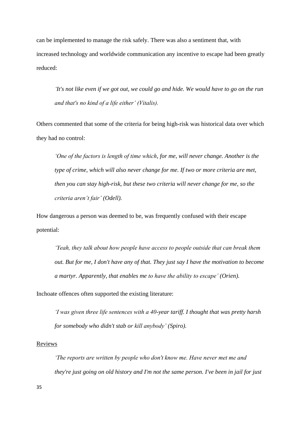can be implemented to manage the risk safely. There was also a sentiment that, with increased technology and worldwide communication any incentive to escape had been greatly reduced:

*'It's not like even if we got out, we could go and hide. We would have to go on the run and that's no kind of a life either' (Vitalis).*

Others commented that some of the criteria for being high-risk was historical data over which they had no control:

*'One of the factors is length of time which, for me, will never change. Another is the type of crime, which will also never change for me. If two or more criteria are met, then you can stay high-risk, but these two criteria will never change for me, so the criteria aren't fair' (Odell).*

How dangerous a person was deemed to be, was frequently confused with their escape potential:

*'Yeah, they talk about how people have access to people outside that can break them out. But for me, I don't have any of that. They just say I have the motivation to become a martyr. Apparently, that enables me to have the ability to escape' (Orien).* 

Inchoate offences often supported the existing literature:

*'I was given three life sentences with a 40-year tariff. I thought that was pretty harsh for somebody who didn't stab or kill anybody' (Spiro).*

# **Reviews**

*'The reports are written by people who don't know me. Have never met me and they're just going on old history and I'm not the same person. I've been in jail for just*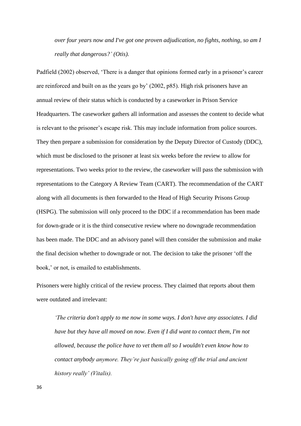*over four years now and I've got one proven adjudication, no fights, nothing, so am I really that dangerous?' (Otis).*

Padfield (2002) observed, 'There is a danger that opinions formed early in a prisoner's career are reinforced and built on as the years go by' (2002, p85). High risk prisoners have an annual review of their status which is conducted by a caseworker in Prison Service Headquarters. The caseworker gathers all information and assesses the content to decide what is relevant to the prisoner's escape risk. This may include information from police sources. They then prepare a submission for consideration by the Deputy Director of Custody (DDC), which must be disclosed to the prisoner at least six weeks before the review to allow for representations. Two weeks prior to the review, the caseworker will pass the submission with representations to the Category A Review Team (CART). The recommendation of the CART along with all documents is then forwarded to the Head of High Security Prisons Group (HSPG). The submission will only proceed to the DDC if a recommendation has been made for down-grade or it is the third consecutive review where no downgrade recommendation has been made. The DDC and an advisory panel will then consider the submission and make the final decision whether to downgrade or not. The decision to take the prisoner 'off the book,' or not, is emailed to establishments.

Prisoners were highly critical of the review process. They claimed that reports about them were outdated and irrelevant:

*'The criteria don't apply to me now in some ways. I don't have any associates. I did have but they have all moved on now. Even if I did want to contact them, I'm not allowed, because the police have to vet them all so I wouldn't even know how to contact anybody anymore. They're just basically going off the trial and ancient history really' (Vitalis).*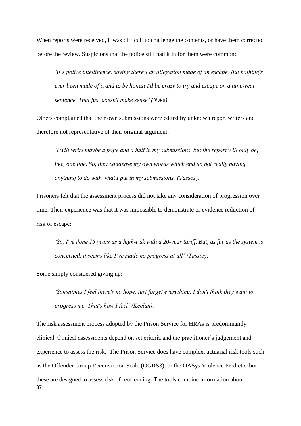When reports were received, it was difficult to challenge the contents, or have them corrected before the review. Suspicions that the police still had it in for them were common:

*'It's police intelligence, saying there's an allegation made of an escape. But nothing's ever been made of it and to be honest I'd be crazy to try and escape on a nine-year sentence. That just doesn't make sense' (Nyke).* 

Others complained that their own submissions were edited by unknown report writers and therefore not representative of their original argument:

*'I will write maybe a page and a half in my submissions, but the report will only be, like, one line. So, they condense my own words which end up not really having anything to do with what I put in my submissions' (Tassos*).

Prisoners felt that the assessment process did not take any consideration of progression over time. Their experience was that it was impossible to demonstrate or evidence reduction of risk of escape:

*'So, I've done 15 years as a high-risk with a 20-year tariff. But, as far as the system is concerned, it seems like I've made no progress at all' (Tassos).* 

Some simply considered giving up:

*'Sometimes I feel there's no hope, just forget everything. I don't think they want to progress me. That's how I feel' (Keelan).*

37 The risk assessment process adopted by the Prison Service for HRAs is predominantly clinical. Clinical assessments depend on set criteria and the practitioner's judgement and experience to assess the risk. The Prison Service does have complex, actuarial risk tools such as the Offender Group Reconviction Scale (OGRS3), or the OASys Violence Predictor but these are designed to assess risk of reoffending. The tools combine information about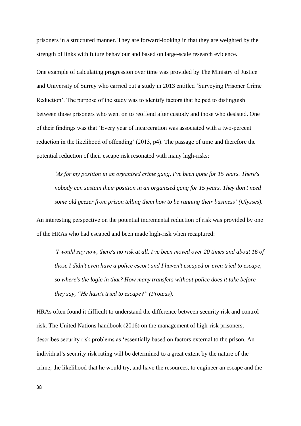prisoners in a structured manner. They are forward-looking in that they are weighted by the strength of links with future behaviour and based on large-scale research evidence.

One example of calculating progression over time was provided by The Ministry of Justice and University of Surrey who carried out a study in 2013 entitled 'Surveying Prisoner Crime Reduction'. The purpose of the study was to identify factors that helped to distinguish between those prisoners who went on to reoffend after custody and those who desisted. One of their findings was that 'Every year of incarceration was associated with a two-percent reduction in the likelihood of offending' (2013, p4). The passage of time and therefore the potential reduction of their escape risk resonated with many high-risks:

*'As for my position in an organised crime gang, I've been gone for 15 years. There's nobody can sustain their position in an organised gang for 15 years. They don't need some old geezer from prison telling them how to be running their business' (Ulysses).* 

An interesting perspective on the potential incremental reduction of risk was provided by one of the HRAs who had escaped and been made high-risk when recaptured:

*'I would say now, there's no risk at all. I've been moved over 20 times and about 16 of those I didn't even have a police escort and I haven't escaped or even tried to escape, so where's the logic in that? How many transfers without police does it take before they say, "He hasn't tried to escape?" (Proteus).*

HRAs often found it difficult to understand the difference between security risk and control risk. The United Nations handbook (2016) on the management of high-risk prisoners, describes security risk problems as 'essentially based on factors external to the prison. An individual's security risk rating will be determined to a great extent by the nature of the crime, the likelihood that he would try, and have the resources, to engineer an escape and the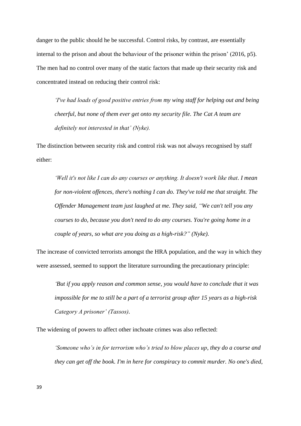danger to the public should he be successful. Control risks, by contrast, are essentially internal to the prison and about the behaviour of the prisoner within the prison'  $(2016, p5)$ . The men had no control over many of the static factors that made up their security risk and concentrated instead on reducing their control risk:

*'I've had loads of good positive entries from my wing staff for helping out and being cheerful, but none of them ever get onto my security file. The Cat A team are definitely not interested in that' (Nyke).*

The distinction between security risk and control risk was not always recognised by staff either:

*'Well it's not like I can do any courses or anything. It doesn't work like that. I mean for non-violent offences, there's nothing I can do. They've told me that straight. The Offender Management team just laughed at me. They said, "We can't tell you any courses to do, because you don't need to do any courses. You're going home in a couple of years, so what are you doing as a high-risk?" (Nyke).*

The increase of convicted terrorists amongst the HRA population, and the way in which they were assessed, seemed to support the literature surrounding the precautionary principle:

*'But if you apply reason and common sense, you would have to conclude that it was impossible for me to still be a part of a terrorist group after 15 years as a high-risk Category A prisoner' (Tassos).* 

The widening of powers to affect other inchoate crimes was also reflected:

*'Someone who's in for terrorism who's tried to blow places up, they do a course and they can get off the book. I'm in here for conspiracy to commit murder. No one's died,*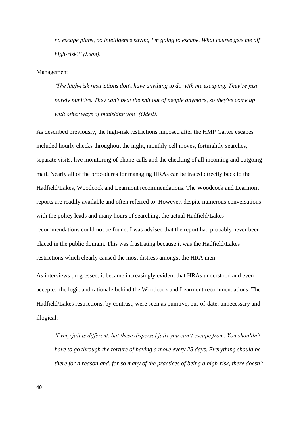*no escape plans, no intelligence saying I'm going to escape. What course gets me off high-risk?' (Leon).*

#### Management

*'The high-risk restrictions don't have anything to do with me escaping. They're just purely punitive. They can't beat the shit out of people anymore, so they've come up with other ways of punishing you' (Odell).*

As described previously, the high-risk restrictions imposed after the HMP Gartee escapes included hourly checks throughout the night, monthly cell moves, fortnightly searches, separate visits, live monitoring of phone-calls and the checking of all incoming and outgoing mail. Nearly all of the procedures for managing HRAs can be traced directly back to the Hadfield/Lakes, Woodcock and Learmont recommendations. The Woodcock and Learmont reports are readily available and often referred to. However, despite numerous conversations with the policy leads and many hours of searching, the actual Hadfield/Lakes recommendations could not be found. I was advised that the report had probably never been placed in the public domain. This was frustrating because it was the Hadfield/Lakes restrictions which clearly caused the most distress amongst the HRA men.

As interviews progressed, it became increasingly evident that HRAs understood and even accepted the logic and rationale behind the Woodcock and Learmont recommendations. The Hadfield/Lakes restrictions, by contrast, were seen as punitive, out-of-date, unnecessary and illogical:

*'Every jail is different, but these dispersal jails you can't escape from. You shouldn't have to go through the torture of having a move every 28 days. Everything should be there for a reason and, for so many of the practices of being a high-risk, there doesn't*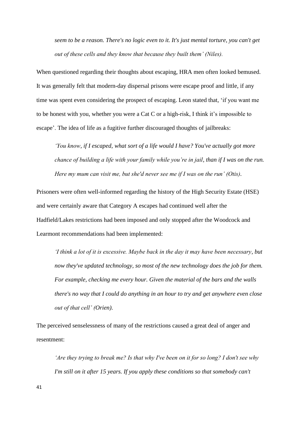*seem to be a reason. There's no logic even to it. It's just mental torture, you can't get out of these cells and they know that because they built them' (Niles).*

When questioned regarding their thoughts about escaping, HRA men often looked bemused. It was generally felt that modern-day dispersal prisons were escape proof and little, if any time was spent even considering the prospect of escaping. Leon stated that, 'if you want me to be honest with you, whether you were a Cat C or a high-risk, I think it's impossible to escape'. The idea of life as a fugitive further discouraged thoughts of jailbreaks:

*'You know, if I escaped, what sort of a life would I have? You've actually got more chance of building a life with your family while you're in jail, than if I was on the run. Here my mum can visit me, but she'd never see me if I was on the run' (Otis).*

Prisoners were often well-informed regarding the history of the High Security Estate (HSE) and were certainly aware that Category A escapes had continued well after the Hadfield/Lakes restrictions had been imposed and only stopped after the Woodcock and Learmont recommendations had been implemented:

*'I think a lot of it is excessive. Maybe back in the day it may have been necessary, but now they've updated technology, so most of the new technology does the job for them. For example, checking me every hour. Given the material of the bars and the walls there's no way that I could do anything in an hour to try and get anywhere even close out of that cell' (Orien).* 

The perceived senselessness of many of the restrictions caused a great deal of anger and resentment:

*'Are they trying to break me? Is that why I've been on it for so long? I don't see why I'm still on it after 15 years. If you apply these conditions so that somebody can't* 

41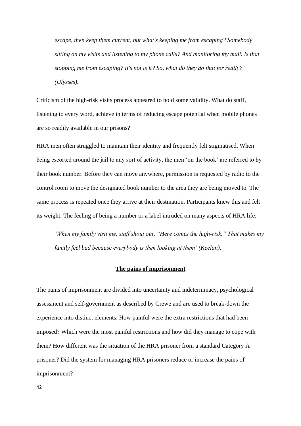*escape, then keep them current, but what's keeping me from escaping? Somebody sitting on my visits and listening to my phone calls? And monitoring my mail. Is that stopping me from escaping? It's not is it? So, what do they do that for really?' (Ulysses).*

Criticism of the high-risk visits process appeared to hold some validity. What do staff, listening to every word, achieve in terms of reducing escape potential when mobile phones are so readily available in our prisons?

HRA men often struggled to maintain their identity and frequently felt stigmatised. When being escorted around the jail to any sort of activity, the men 'on the book' are referred to by their book number. Before they can move anywhere, permission is requested by radio to the control room to move the designated book number to the area they are being moved to. The same process is repeated once they arrive at their destination. Participants knew this and felt its weight. The feeling of being a number or a label intruded on many aspects of HRA life:

*'When my family visit me, staff shout out, "Here comes the high-risk." That makes my family feel bad because everybody is then looking at them' (Keelan).*

#### **The pains of imprisonment**

The pains of imprisonment are divided into uncertainty and indeterminacy, psychological assessment and self-government as described by Crewe and are used to break-down the experience into distinct elements. How painful were the extra restrictions that had been imposed? Which were the most painful restrictions and how did they manage to cope with them? How different was the situation of the HRA prisoner from a standard Category A prisoner? Did the system for managing HRA prisoners reduce or increase the pains of imprisonment?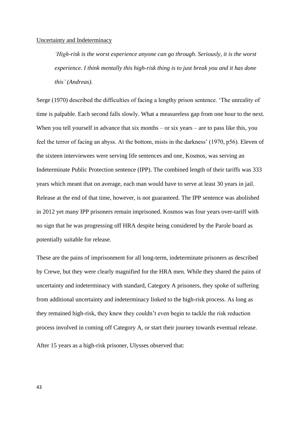#### Uncertainty and Indeterminacy

*'High-risk is the worst experience anyone can go through. Seriously, it is the worst experience. I think mentally this high-risk thing is to just break you and it has done this' (Andreas).*

Serge (1970) described the difficulties of facing a lengthy prison sentence. 'The unreality of time is palpable. Each second falls slowly. What a measureless gap from one hour to the next. When you tell yourself in advance that six months – or six years – are to pass like this, you feel the terror of facing an abyss. At the bottom, mists in the darkness' (1970, p56). Eleven of the sixteen interviewees were serving life sentences and one, Kosmos, was serving an Indeterminate Public Protection sentence (IPP). The combined length of their tariffs was 333 years which meant that on average, each man would have to serve at least 30 years in jail. Release at the end of that time, however, is not guaranteed. The IPP sentence was abolished in 2012 yet many IPP prisoners remain imprisoned. Kosmos was four years over-tariff with no sign that he was progressing off HRA despite being considered by the Parole board as potentially suitable for release.

These are the pains of imprisonment for all long-term, indeterminate prisoners as described by Crewe, but they were clearly magnified for the HRA men. While they shared the pains of uncertainty and indeterminacy with standard, Category A prisoners, they spoke of suffering from additional uncertainty and indeterminacy linked to the high-risk process. As long as they remained high-risk, they knew they couldn't even begin to tackle the risk reduction process involved in coming off Category A, or start their journey towards eventual release.

After 15 years as a high-risk prisoner, Ulysses observed that: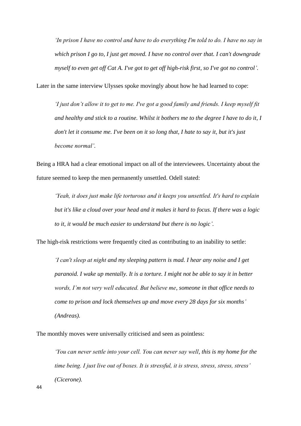*'In prison I have no control and have to do everything I'm told to do. I have no say in which prison I go to, I just get moved. I have no control over that. I can't downgrade myself to even get off Cat A. I've got to get off high-risk first, so I've got no control'.* 

Later in the same interview Ulysses spoke movingly about how he had learned to cope:

*'I just don't allow it to get to me. I've got a good family and friends. I keep myself fit and healthy and stick to a routine. Whilst it bothers me to the degree I have to do it, I don't let it consume me. I've been on it so long that, I hate to say it, but it's just become normal'.*

Being a HRA had a clear emotional impact on all of the interviewees. Uncertainty about the future seemed to keep the men permanently unsettled. Odell stated:

*'Yeah, it does just make life torturous and it keeps you unsettled. It's hard to explain but it's like a cloud over your head and it makes it hard to focus. If there was a logic to it, it would be much easier to understand but there is no logic'.*

The high-risk restrictions were frequently cited as contributing to an inability to settle:

*'I can't sleep at night and my sleeping pattern is mad. I hear any noise and I get paranoid. I wake up mentally. It is a torture. I might not be able to say it in better words, I'm not very well educated. But believe me, someone in that office needs to come to prison and lock themselves up and move every 28 days for six months' (Andreas).*

The monthly moves were universally criticised and seen as pointless:

*'You can never settle into your cell. You can never say well, this is my home for the time being. I just live out of boxes. It is stressful, it is stress, stress, stress, stress' (Cicerone).*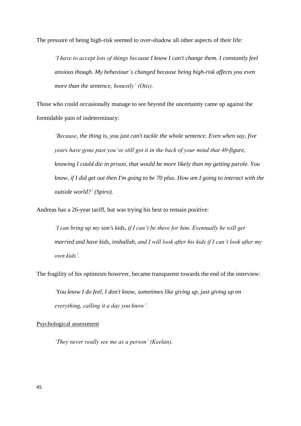The pressure of being high-risk seemed to over-shadow all other aspects of their life:

*'I have to accept lots of things because I know I can't change them. I constantly feel anxious though. My behaviour's changed because being high-risk affects you even more than the sentence, honestly' (Otis).*

Those who could occasionally manage to see beyond the uncertainty came up against the formidable pain of indeterminacy:

*'Because, the thing is, you just can't tackle the whole sentence. Even when say, five years have gone past you've still got it in the back of your mind that 40-figure, knowing I could die in prison, that would be more likely than my getting parole. You know, if I did get out then I'm going to be 70 plus. How am I going to interact with the outside world?' (Spiro).*

Andreas has a 26-year tariff, but was trying his best to remain positive:

*'I can bring up my son's kids, if I can't be there for him. Eventually he will get married and have kids, inshallah, and I will look after his kids if I can't look after my own kids'.* 

The fragility of his optimism however, became transparent towards the end of the interview:

*'You know I do feel, I don't know, sometimes like giving up, just giving up on everything, calling it a day you know'.*

#### Psychological assessment

*'They never really see me as a person' (Keelan).*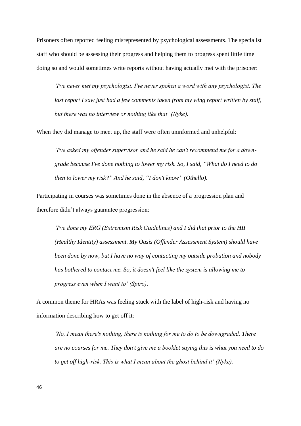Prisoners often reported feeling misrepresented by psychological assessments. The specialist staff who should be assessing their progress and helping them to progress spent little time doing so and would sometimes write reports without having actually met with the prisoner:

*'I've never met my psychologist. I've never spoken a word with any psychologist. The last report I saw just had a few comments taken from my wing report written by staff, but there was no interview or nothing like that' (Nyke).* 

When they did manage to meet up, the staff were often uninformed and unhelpful:

*'I've asked my offender supervisor and he said he can't recommend me for a downgrade because I've done nothing to lower my risk. So, I said, "What do I need to do then to lower my risk?" And he said, "I don't know" (Othello).* 

Participating in courses was sometimes done in the absence of a progression plan and therefore didn't always guarantee progression:

*'I've done my ERG (Extremism Risk Guidelines) and I did that prior to the HII (Healthy Identity) assessment. My Oasis (Offender Assessment System) should have been done by now, but I have no way of contacting my outside probation and nobody has bothered to contact me. So, it doesn't feel like the system is allowing me to progress even when I want to' (Spiro).* 

A common theme for HRAs was feeling stuck with the label of high-risk and having no information describing how to get off it:

*'No, I mean there's nothing, there is nothing for me to do to be downgraded. There are no courses for me. They don't give me a booklet saying this is what you need to do to get off high-risk. This is what I mean about the ghost behind it' (Nyke).*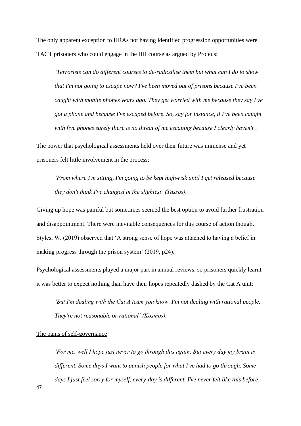The only apparent exception to HRAs not having identified progression opportunities were TACT prisoners who could engage in the HII course as argued by Proteus:

*'Terrorists can do different courses to de-radicalise them but what can I do to show that I'm not going to escape now? I've been moved out of prisons because I've been caught with mobile phones years ago. They get worried with me because they say I've got a phone and because I've escaped before. So, say for instance, if I've been caught with five phones surely there is no threat of me escaping because I clearly haven't'.*

The power that psychological assessments held over their future was immense and yet prisoners felt little involvement in the process:

*'From where I'm sitting, I'm going to be kept high-risk until I get released because they don't think I've changed in the slightest' (Tassos).*

Giving up hope was painful but sometimes seemed the best option to avoid further frustration and disappointment. There were inevitable consequences for this course of action though. Styles, W. (2019) observed that 'A strong sense of hope was attached to having a belief in making progress through the prison system' (2019, p24).

Psychological assessments played a major part in annual reviews, so prisoners quickly learnt it was better to expect nothing than have their hopes repeatedly dashed by the Cat A unit:

*'But I'm dealing with the Cat A team you know. I'm not dealing with rational people. They're not reasonable or rational' (Kosmos).*

# The pains of self-governance

*'For me, well I hope just never to go through this again. But every day my brain is different. Some days I want to punish people for what I've had to go through. Some days I just feel sorry for myself, every-day is different. I've never felt like this before,*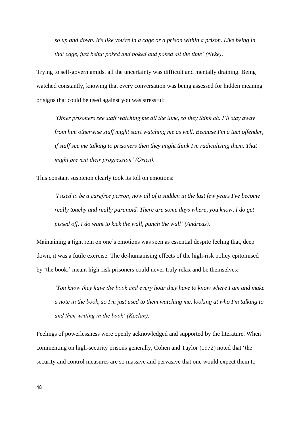*so up and down. It's like you're in a cage or a prison within a prison. Like being in that cage, just being poked and poked and poked all the time' (Nyke).* 

Trying to self-govern amidst all the uncertainty was difficult and mentally draining. Being watched constantly, knowing that every conversation was being assessed for hidden meaning or signs that could be used against you was stressful:

*'Other prisoners see staff watching me all the time, so they think ah, I'll stay away from him otherwise staff might start watching me as well. Because I'm a tact offender, if staff see me talking to prisoners then they might think I'm radicalising them. That might prevent their progression' (Orien).* 

This constant suspicion clearly took its toll on emotions:

*'I used to be a carefree person, now all of a sudden in the last few years I've become really touchy and really paranoid. There are some days where, you know, I do get pissed off. I do want to kick the wall, punch the wall' (Andreas).* 

Maintaining a tight rein on one's emotions was seen as essential despite feeling that, deep down, it was a futile exercise. The de-humanising effects of the high-risk policy epitomised by 'the book,' meant high-risk prisoners could never truly relax and be themselves:

*'You know they have the book and every hour they have to know where I am and make a note in the book, so I'm just used to them watching me, looking at who I'm talking to and then writing in the book' (Keelan).* 

Feelings of powerlessness were openly acknowledged and supported by the literature. When commenting on high-security prisons generally, Cohen and Taylor (1972) noted that 'the security and control measures are so massive and pervasive that one would expect them to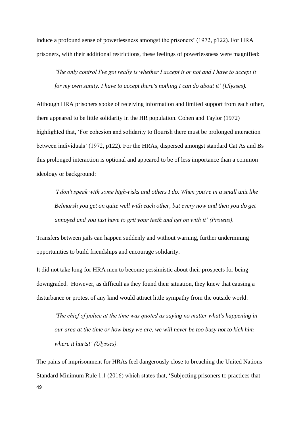induce a profound sense of powerlessness amongst the prisoners' (1972, p122). For HRA prisoners, with their additional restrictions, these feelings of powerlessness were magnified:

*'The only control I've got really is whether I accept it or not and I have to accept it for my own sanity. I have to accept there's nothing I can do about it' (Ulysses).*

Although HRA prisoners spoke of receiving information and limited support from each other, there appeared to be little solidarity in the HR population. Cohen and Taylor (1972) highlighted that, 'For cohesion and solidarity to flourish there must be prolonged interaction between individuals' (1972, p122). For the HRAs, dispersed amongst standard Cat As and Bs this prolonged interaction is optional and appeared to be of less importance than a common ideology or background:

*'I don't speak with some high-risks and others I do. When you're in a small unit like Belmarsh you get on quite well with each other, but every now and then you do get annoyed and you just have to grit your teeth and get on with it' (Proteus).*

Transfers between jails can happen suddenly and without warning, further undermining opportunities to build friendships and encourage solidarity.

It did not take long for HRA men to become pessimistic about their prospects for being downgraded. However, as difficult as they found their situation, they knew that causing a disturbance or protest of any kind would attract little sympathy from the outside world:

*'The chief of police at the time was quoted as saying no matter what's happening in our area at the time or how busy we are, we will never be too busy not to kick him where it hurts!' (Ulysses).* 

49 The pains of imprisonment for HRAs feel dangerously close to breaching the United Nations Standard Minimum Rule 1.1 (2016) which states that, 'Subjecting prisoners to practices that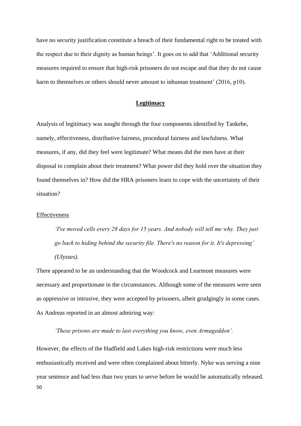have no security justification constitute a breach of their fundamental right to be treated with the respect due to their dignity as human beings'. It goes on to add that 'Additional security measures required to ensure that high-risk prisoners do not escape and that they do not cause harm to themselves or others should never amount to inhuman treatment' (2016, p10).

# **Legitimacy**

Analysis of legitimacy was sought through the four components identified by Tankebe, namely, effectiveness, distributive fairness, procedural fairness and lawfulness. What measures, if any, did they feel were legitimate? What means did the men have at their disposal to complain about their treatment? What power did they hold over the situation they found themselves in? How did the HRA prisoners learn to cope with the uncertainty of their situation?

#### **Effectiveness**

*'I've moved cells every 28 days for 15 years. And nobody will tell me why. They just go back to hiding behind the security file. There's no reason for it. It's depressing' (Ulysses).*

There appeared to be an understanding that the Woodcock and Learmont measures were necessary and proportionate in the circumstances. Although some of the measures were seen as oppressive or intrusive, they were accepted by prisoners, albeit grudgingly in some cases. As Andreas reported in an almost admiring way:

# *'These prisons are made to last everything you know, even Armageddon'.*

50 However, the effects of the Hadfield and Lakes high-risk restrictions were much less enthusiastically received and were often complained about bitterly. Nyke was serving a nine year sentence and had less than two years to serve before he would be automatically released.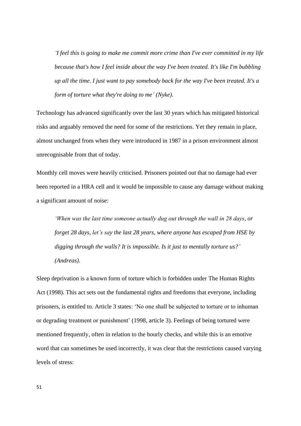*'I feel this is going to make me commit more crime than I've ever committed in my life because that's how I feel inside about the way I've been treated. It's like I'm bubbling up all the time. I just want to pay somebody back for the way I've been treated. It's a form of torture what they're doing to me' (Nyke).*

Technology has advanced significantly over the last 30 years which has mitigated historical risks and arguably removed the need for some of the restrictions. Yet they remain in place, almost unchanged from when they were introduced in 1987 in a prison environment almost unrecognisable from that of today.

Monthly cell moves were heavily criticised. Prisoners pointed out that no damage had ever been reported in a HRA cell and it would be impossible to cause any damage without making a significant amount of noise:

*'When was the last time someone actually dug out through the wall in 28 days, or forget 28 days, let's say the last 28 years, where anyone has escaped from HSE by digging through the walls? It is impossible. Is it just to mentally torture us?' (Andreas).*

Sleep deprivation is a known form of torture which is forbidden under The Human Rights Act (1998). This act sets out the fundamental rights and freedoms that everyone, including prisoners, is entitled to. Article 3 states: 'No one shall be subjected to torture or to inhuman or degrading treatment or punishment' (1998, article 3). Feelings of being tortured were mentioned frequently, often in relation to the hourly checks, and while this is an emotive word that can sometimes be used incorrectly, it was clear that the restrictions caused varying levels of stress: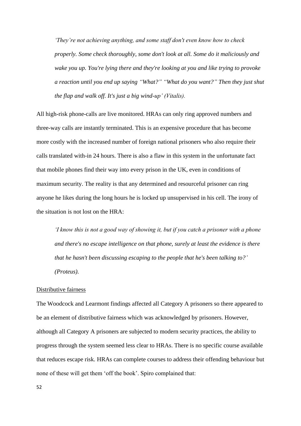*'They're not achieving anything, and some staff don't even know how to check properly. Some check thoroughly, some don't look at all. Some do it maliciously and wake you up. You're lying there and they're looking at you and like trying to provoke a reaction until you end up saying "What?" "What do you want?" Then they just shut the flap and walk off. It's just a big wind-up' (Vitalis).*

All high-risk phone-calls are live monitored. HRAs can only ring approved numbers and three-way calls are instantly terminated. This is an expensive procedure that has become more costly with the increased number of foreign national prisoners who also require their calls translated with-in 24 hours. There is also a flaw in this system in the unfortunate fact that mobile phones find their way into every prison in the UK, even in conditions of maximum security. The reality is that any determined and resourceful prisoner can ring anyone he likes during the long hours he is locked up unsupervised in his cell. The irony of the situation is not lost on the HRA:

*'I know this is not a good way of showing it, but if you catch a prisoner with a phone and there's no escape intelligence on that phone, surely at least the evidence is there that he hasn't been discussing escaping to the people that he's been talking to?' (Proteus).*

#### Distributive fairness

The Woodcock and Learmont findings affected all Category A prisoners so there appeared to be an element of distributive fairness which was acknowledged by prisoners. However, although all Category A prisoners are subjected to modern security practices, the ability to progress through the system seemed less clear to HRAs. There is no specific course available that reduces escape risk. HRAs can complete courses to address their offending behaviour but none of these will get them 'off the book'. Spiro complained that: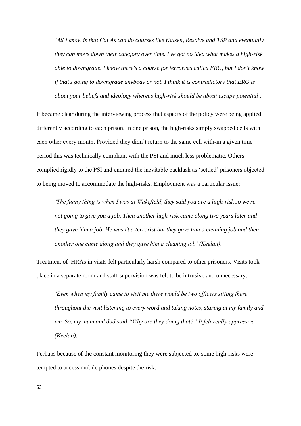*'All I know is that Cat As can do courses like Kaizen, Resolve and TSP and eventually they can move down their category over time. I've got no idea what makes a high-risk able to downgrade. I know there's a course for terrorists called ERG, but I don't know if that's going to downgrade anybody or not. I think it is contradictory that ERG is about your beliefs and ideology whereas high-risk should be about escape potential'.* 

It became clear during the interviewing process that aspects of the policy were being applied differently according to each prison. In one prison, the high-risks simply swapped cells with each other every month. Provided they didn't return to the same cell with-in a given time period this was technically compliant with the PSI and much less problematic. Others complied rigidly to the PSI and endured the inevitable backlash as 'settled' prisoners objected to being moved to accommodate the high-risks. Employment was a particular issue:

*'The funny thing is when I was at Wakefield, they said you are a high-risk so we're not going to give you a job. Then another high-risk came along two years later and they gave him a job. He wasn't a terrorist but they gave him a cleaning job and then another one came along and they gave him a cleaning job' (Keelan).*

Treatment of HRAs in visits felt particularly harsh compared to other prisoners. Visits took place in a separate room and staff supervision was felt to be intrusive and unnecessary:

*'Even when my family came to visit me there would be two officers sitting there throughout the visit listening to every word and taking notes, staring at my family and me. So, my mum and dad said "Why are they doing that?" It felt really oppressive' (Keelan).*

Perhaps because of the constant monitoring they were subjected to, some high-risks were tempted to access mobile phones despite the risk: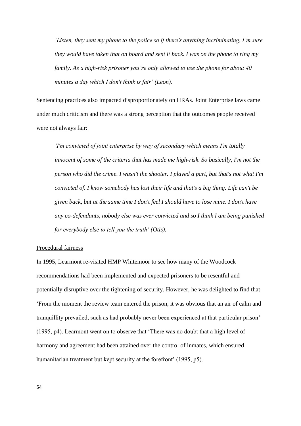*'Listen, they sent my phone to the police so if there's anything incriminating, I'm sure they would have taken that on board and sent it back. I was on the phone to ring my family. As a high-risk prisoner you're only allowed to use the phone for about 40 minutes a day which I don't think is fair' (Leon).*

Sentencing practices also impacted disproportionately on HRAs. Joint Enterprise laws came under much criticism and there was a strong perception that the outcomes people received were not always fair:

*'I'm convicted of joint enterprise by way of secondary which means I'm totally innocent of some of the criteria that has made me high-risk. So basically, I'm not the person who did the crime. I wasn't the shooter. I played a part, but that's not what I'm convicted of. I know somebody has lost their life and that's a big thing. Life can't be given back, but at the same time I don't feel I should have to lose mine. I don't have any co-defendants, nobody else was ever convicted and so I think I am being punished for everybody else to tell you the truth' (Otis).*

#### Procedural fairness

In 1995, Learmont re-visited HMP Whitemoor to see how many of the Woodcock recommendations had been implemented and expected prisoners to be resentful and potentially disruptive over the tightening of security. However, he was delighted to find that 'From the moment the review team entered the prison, it was obvious that an air of calm and tranquillity prevailed, such as had probably never been experienced at that particular prison' (1995, p4). Learmont went on to observe that 'There was no doubt that a high level of harmony and agreement had been attained over the control of inmates, which ensured humanitarian treatment but kept security at the forefront' (1995, p5).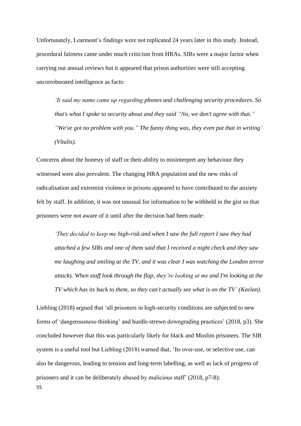Unfortunately, Learmont's findings were not replicated 24 years later in this study. Instead, procedural fairness came under much criticism from HRAs. SIRs were a major factor when carrying out annual reviews but it appeared that prison authorities were still accepting uncorroborated intelligence as facts:

*'It said my name came up regarding phones and challenging security procedures. So that's what I spoke to security about and they said "No, we don't agree with that." "We've got no problem with you." The funny thing was, they even put that in writing' (Vitalis).* 

Concerns about the honesty of staff or their ability to misinterpret any behaviour they witnessed were also prevalent. The changing HRA population and the new risks of radicalisation and extremist violence in prisons appeared to have contributed to the anxiety felt by staff. In addition, it was not unusual for information to be withheld in the gist so that prisoners were not aware of it until after the decision had been made:

*'They decided to keep me high-risk and when I saw the full report I saw they had attached a few SIRs and one of them said that I received a night check and they saw me laughing and smiling at the TV, and it was clear I was watching the London terror attacks. When staff look through the flap, they're looking at me and I'm looking at the TV which has its back to them, so they can't actually see what is on the TV' (Keelan).* 

55 Liebling (2018) argued that 'all prisoners in high-security conditions are subjected to new forms of 'dangerousness-thinking' and hurdle-strewn downgrading practices' (2018, p3). She concluded however that this was particularly likely for black and Muslim prisoners. The SIR system is a useful tool but Liebling (2018) warned that, 'Its over-use, or selective use, can also be dangerous, leading to tension and long-term labelling, as well as lack of progress of prisoners and it can be deliberately abused by malicious staff' (2018, p7-8):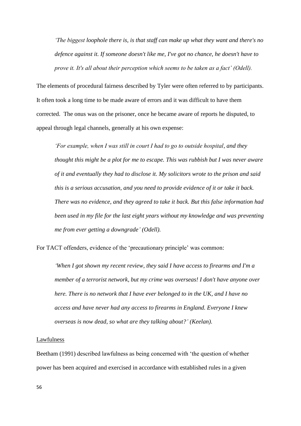*'The biggest loophole there is, is that staff can make up what they want and there's no defence against it. If someone doesn't like me, I've got no chance, he doesn't have to prove it. It's all about their perception which seems to be taken as a fact' (Odell).*

The elements of procedural fairness described by Tyler were often referred to by participants. It often took a long time to be made aware of errors and it was difficult to have them corrected. The onus was on the prisoner, once he became aware of reports he disputed, to appeal through legal channels, generally at his own expense:

*'For example, when I was still in court I had to go to outside hospital, and they thought this might be a plot for me to escape. This was rubbish but I was never aware of it and eventually they had to disclose it. My solicitors wrote to the prison and said this is a serious accusation, and you need to provide evidence of it or take it back. There was no evidence, and they agreed to take it back. But this false information had been used in my file for the last eight years without my knowledge and was preventing me from ever getting a downgrade' (Odell).* 

For TACT offenders, evidence of the 'precautionary principle' was common:

*'When I got shown my recent review, they said I have access to firearms and I'm a member of a terrorist network, but my crime was overseas! I don't have anyone over here. There is no network that I have ever belonged to in the UK, and I have no access and have never had any access to firearms in England. Everyone I knew overseas is now dead, so what are they talking about?' (Keelan).*

#### Lawfulness

Beetham (1991) described lawfulness as being concerned with 'the question of whether power has been acquired and exercised in accordance with established rules in a given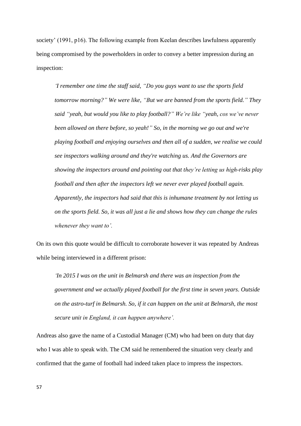society' (1991, p16). The following example from Keelan describes lawfulness apparently being compromised by the powerholders in order to convey a better impression during an inspection:

*'I remember one time the staff said, "Do you guys want to use the sports field tomorrow morning?" We were like, "But we are banned from the sports field." They said "yeah, but would you like to play football?" We're like "yeah, cos we've never been allowed on there before, so yeah!" So, in the morning we go out and we're playing football and enjoying ourselves and then all of a sudden, we realise we could see inspectors walking around and they're watching us. And the Governors are showing the inspectors around and pointing out that they're letting us high-risks play football and then after the inspectors left we never ever played football again. Apparently, the inspectors had said that this is inhumane treatment by not letting us on the sports field. So, it was all just a lie and shows how they can change the rules whenever they want to'.* 

On its own this quote would be difficult to corroborate however it was repeated by Andreas while being interviewed in a different prison:

*'In 2015 I was on the unit in Belmarsh and there was an inspection from the government and we actually played football for the first time in seven years. Outside on the astro-turf in Belmarsh. So, if it can happen on the unit at Belmarsh, the most secure unit in England, it can happen anywhere'.*

Andreas also gave the name of a Custodial Manager (CM) who had been on duty that day who I was able to speak with. The CM said he remembered the situation very clearly and confirmed that the game of football had indeed taken place to impress the inspectors.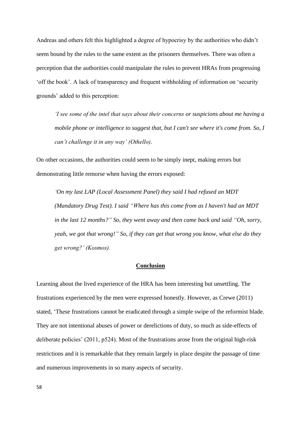Andreas and others felt this highlighted a degree of hypocrisy by the authorities who didn't seem bound by the rules to the same extent as the prisoners themselves. There was often a perception that the authorities could manipulate the rules to prevent HRAs from progressing 'off the book'. A lack of transparency and frequent withholding of information on 'security grounds' added to this perception:

*'I see some of the intel that says about their concerns or suspicions about me having a mobile phone or intelligence to suggest that, but I can't see where it's come from. So, I can't challenge it in any way' (Othello).*

On other occasions, the authorities could seem to be simply inept, making errors but demonstrating little remorse when having the errors exposed:

*'On my last LAP (Local Assessment Panel) they said I had refused an MDT (Mandatory Drug Test). I said "Where has this come from as I haven't had an MDT in the last 12 months?" So, they went away and then came back and said "Oh, sorry, yeah, we got that wrong!" So, if they can get that wrong you know, what else do they get wrong?' (Kosmos).*

#### **Conclusion**

Learning about the lived experience of the HRA has been interesting but unsettling. The frustrations experienced by the men were expressed honestly. However, as Crewe (2011) stated, 'These frustrations cannot be eradicated through a simple swipe of the reformist blade. They are not intentional abuses of power or derelictions of duty, so much as side-effects of deliberate policies' (2011, p524). Most of the frustrations arose from the original high-risk restrictions and it is remarkable that they remain largely in place despite the passage of time and numerous improvements in so many aspects of security.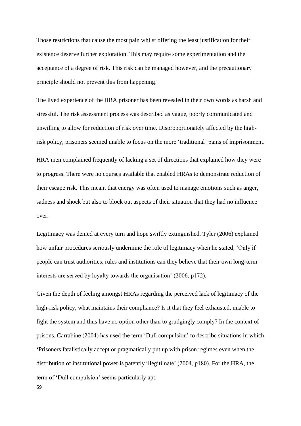Those restrictions that cause the most pain whilst offering the least justification for their existence deserve further exploration. This may require some experimentation and the acceptance of a degree of risk. This risk can be managed however, and the precautionary principle should not prevent this from happening.

The lived experience of the HRA prisoner has been revealed in their own words as harsh and stressful. The risk assessment process was described as vague, poorly communicated and unwilling to allow for reduction of risk over time. Disproportionately affected by the highrisk policy, prisoners seemed unable to focus on the more 'traditional' pains of imprisonment.

HRA men complained frequently of lacking a set of directions that explained how they were to progress. There were no courses available that enabled HRAs to demonstrate reduction of their escape risk. This meant that energy was often used to manage emotions such as anger, sadness and shock but also to block out aspects of their situation that they had no influence over.

Legitimacy was denied at every turn and hope swiftly extinguished. Tyler (2006) explained how unfair procedures seriously undermine the role of legitimacy when he stated, 'Only if people can trust authorities, rules and institutions can they believe that their own long-term interests are served by loyalty towards the organisation' (2006, p172).

Given the depth of feeling amongst HRAs regarding the perceived lack of legitimacy of the high-risk policy, what maintains their compliance? Is it that they feel exhausted, unable to fight the system and thus have no option other than to grudgingly comply? In the context of prisons, Carrabine (2004) has used the term 'Dull compulsion' to describe situations in which 'Prisoners fatalistically accept or pragmatically put up with prison regimes even when the distribution of institutional power is patently illegitimate' (2004, p180). For the HRA, the term of 'Dull compulsion' seems particularly apt.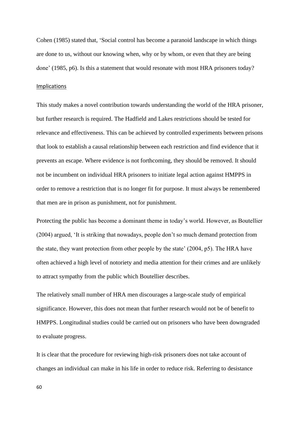Cohen (1985) stated that, 'Social control has become a paranoid landscape in which things are done to us, without our knowing when, why or by whom, or even that they are being done' (1985, p6). Is this a statement that would resonate with most HRA prisoners today?

# Implications

This study makes a novel contribution towards understanding the world of the HRA prisoner, but further research is required. The Hadfield and Lakes restrictions should be tested for relevance and effectiveness. This can be achieved by controlled experiments between prisons that look to establish a causal relationship between each restriction and find evidence that it prevents an escape. Where evidence is not forthcoming, they should be removed. It should not be incumbent on individual HRA prisoners to initiate legal action against HMPPS in order to remove a restriction that is no longer fit for purpose. It must always be remembered that men are in prison as punishment, not for punishment.

Protecting the public has become a dominant theme in today's world. However, as Boutellier (2004) argued, 'It is striking that nowadays, people don't so much demand protection from the state, they want protection from other people by the state' (2004, p5). The HRA have often achieved a high level of notoriety and media attention for their crimes and are unlikely to attract sympathy from the public which Boutellier describes.

The relatively small number of HRA men discourages a large-scale study of empirical significance. However, this does not mean that further research would not be of benefit to HMPPS. Longitudinal studies could be carried out on prisoners who have been downgraded to evaluate progress.

It is clear that the procedure for reviewing high-risk prisoners does not take account of changes an individual can make in his life in order to reduce risk. Referring to desistance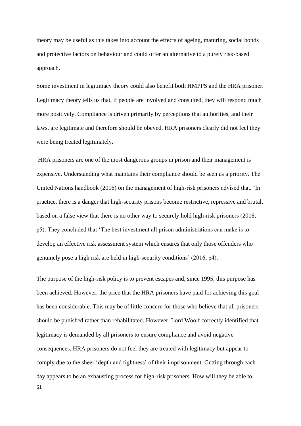theory may be useful as this takes into account the effects of ageing, maturing, social bonds and protective factors on behaviour and could offer an alternative to a purely risk-based approach.

Some investment in legitimacy theory could also benefit both HMPPS and the HRA prisoner. Legitimacy theory tells us that, if people are involved and consulted, they will respond much more positively. Compliance is driven primarily by perceptions that authorities, and their laws, are legitimate and therefore should be obeyed. HRA prisoners clearly did not feel they were being treated legitimately.

HRA prisoners are one of the most dangerous groups in prison and their management is expensive. Understanding what maintains their compliance should be seen as a priority. The United Nations handbook (2016) on the management of high-risk prisoners advised that, 'In practice, there is a danger that high-security prisons become restrictive, repressive and brutal, based on a false view that there is no other way to securely hold high-risk prisoners (2016, p5). They concluded that 'The best investment all prison administrations can make is to develop an effective risk assessment system which ensures that only those offenders who genuinely pose a high risk are held in high-security conditions' (2016, p4).

61 The purpose of the high-risk policy is to prevent escapes and, since 1995, this purpose has been achieved. However, the price that the HRA prisoners have paid for achieving this goal has been considerable. This may be of little concern for those who believe that all prisoners should be punished rather than rehabilitated. However, Lord Woolf correctly identified that legitimacy is demanded by all prisoners to ensure compliance and avoid negative consequences. HRA prisoners do not feel they are treated with legitimacy but appear to comply due to the sheer 'depth and tightness' of their imprisonment. Getting through each day appears to be an exhausting process for high-risk prisoners. How will they be able to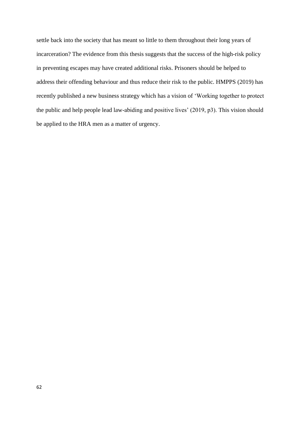settle back into the society that has meant so little to them throughout their long years of incarceration? The evidence from this thesis suggests that the success of the high-risk policy in preventing escapes may have created additional risks. Prisoners should be helped to address their offending behaviour and thus reduce their risk to the public. HMPPS (2019) has recently published a new business strategy which has a vision of 'Working together to protect the public and help people lead law-abiding and positive lives' (2019, p3). This vision should be applied to the HRA men as a matter of urgency.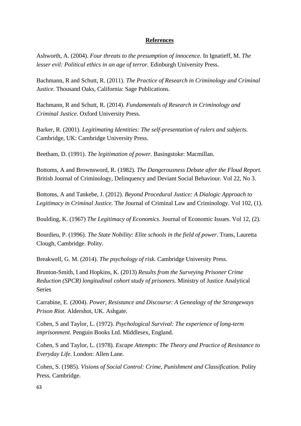# **References**

Ashworth, A. (2004). *Four threats to the presumption of innocence.* In Ignatieff, M. *The lesser evil: Political ethics in an age of terror. Edinburgh University Press.* 

Bachmann, R and Schutt, R. (2011). *The Practice of Research in Criminology and Criminal Justice*. Thousand Oaks, California: Sage Publications.

Bachmann, R and Schutt, R. (2014). *Fundamentals of Research in Criminology and Criminal Justice.* Oxford University Press.

Barker, R. (2001). *Legitimating Identities: The self-presentation of rulers and subjects.* Cambridge, UK: Cambridge University Press.

Beetham, D. (1991). *The legitimation of power.* Basingstoke: Macmillan.

Bottoms, A and Brownsword, R. (1982). *The Dangerousness Debate after the Floud Report.* British Journal of Criminology, Delinquency and Deviant Social Behaviour. Vol 22, No 3.

Bottoms, A and Tankebe, J. (2012). *Beyond Procedural Justice: A Dialogic Approach to Legitimacy in Criminal Justice.* The Journal of Criminal Law and Criminology. Vol 102, (1).

Boulding, K. (1967) *The Legitimacy of Economics.* Journal of Economic Issues. Vol 12, (2).

Bourdieu, P. (1996). *The State Nobility: Elite schools in the field of power*. Trans, Lauretta Clough, Cambridge. Polity.

Breakwell, G. M. (2014). *The psychology of risk.* Cambridge University Press.

Brunton-Smith, I and Hopkins, K. (2013) *Results from the Surveying Prisoner Crime Reduction (SPCR) longitudinal cohort study of prisoners.* Ministry of Justice Analytical Series

Carrabine, E. (2004). *Power, Resistance and Discourse: A Genealogy of the Strangeways Prison Riot*. Aldershot, UK. Ashgate.

Cohen, S and Taylor, L. (1972). *Psychological Survival: The experience of long-term imprisonment.* Penguin Books Ltd. Middlesex, England.

Cohen, S and Taylor, L. (1978). *Escape Attempts: The Theory and Practice of Resistance to Everyday Life.* London: Allen Lane.

Cohen, S. (1985). *Visions of Social Control: Crime, Punishment and Classification.* Polity Press. Cambridge.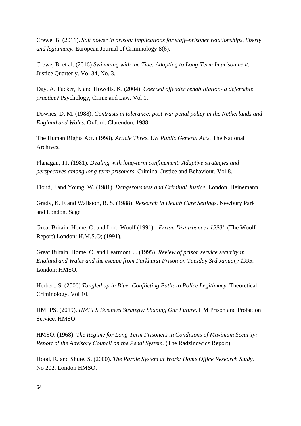Crewe, B. (2011). *Soft power in prison: Implications for staff–prisoner relationships, liberty and legitimacy.* European Journal of Criminology 8(6).

Crewe, B. et al. (2016) *Swimming with the Tide: Adapting to Long-Term Imprisonment.* Justice Quarterly. Vol 34, No. 3.

Day, A. Tucker, K and Howells, K. (2004). *Coerced offender rehabilitation- a defensible practice?* Psychology, Crime and Law. Vol 1.

Downes, D. M. (1988). *Contrasts in tolerance: post-war penal policy in the Netherlands and England and Wales.* Oxford: Clarendon, 1988.

The Human Rights Act. (1998). *Article Three. UK Public General Acts.* The National Archives.

Flanagan, TJ. (1981). *Dealing with long-term confinement: Adaptive strategies and perspectives among long-term prisoners.* Criminal Justice and Behaviour. Vol 8.

Floud, J and Young, W. (1981). *Dangerousness and Criminal Justice.* London. Heinemann.

Grady, K. E and Wallston, B. S. (1988). *Research in Health Care Settings.* Newbury Park and London. Sage.

Great Britain. Home, O. and Lord Woolf (1991). *'Prison Disturbances 1990'*. (The Woolf Report) London: H.M.S.O; (1991).

Great Britain. Home, O. and Learmont, J. (1995). *Review of prison service security in England and Wales and the escape from Parkhurst Prison on Tuesday 3rd January 1995.*  London: HMSO.

Herbert, S. (2006) *Tangled up in Blue: Conflicting Paths to Police Legitimacy.* Theoretical Criminology. Vol 10.

HMPPS. (2019). *HMPPS Business Strategy: Shaping Our Future.* HM Prison and Probation Service. HMSO.

HMSO. (1968). *The Regime for Long-Term Prisoners in Conditions of Maximum Security: Report of the Advisory Council on the Penal System.* (The Radzinowicz Report).

Hood, R. and Shute, S. (2000). *The Parole System at Work: Home Office Research Study.* No 202. London HMSO.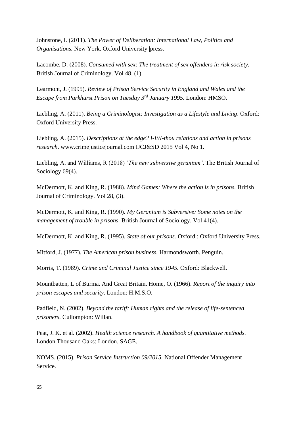Johnstone, I. (2011). *The Power of Deliberation: International Law, Politics and Organisations.* New York. Oxford University |press.

Lacombe, D. (2008). *Consumed with sex: The treatment of sex offenders in risk society.* British Journal of Criminology. Vol 48, (1).

Learmont, J. (1995). *Review of Prison Service Security in England and Wales and the Escape from Parkhurst Prison on Tuesday 3rd January 1995.* London: HMSO.

Liebling, A. (2011). *Being a Criminologist: Investigation as a Lifestyle and Living*. Oxford: Oxford University Press.

Liebling, A. (2015). *Descriptions at the edge? I-It/I-thou relations and action in prisons research*. [www.crimejusticejournal.com](http://www.crimejusticejournal.com/) IJCJ&SD 2015 Vol 4, No 1.

Liebling, A. and Williams, R (2018) '*The new subversive geranium'*. The British Journal of Sociology 69(4).

McDermott, K. and King, R. (1988). *Mind Games: Where the action is in prisons.* British Journal of Criminology. Vol 28, (3).

McDermott, K. and King, R. (1990). *My Geranium is Subversive: Some notes on the management of trouble in prisons.* British Journal of Sociology. Vol 41(4).

McDermott, K. and King, R. (1995). *State of our prisons.* Oxford : Oxford University Press.

Mitford, J. (1977). *The American prison business.* Harmondsworth. Penguin.

Morris, T. (1989). *Crime and Criminal Justice since 1945.* Oxford: Blackwell.

Mountbatten, L of Burma. And Great Britain. Home, O. (1966). *Report of the inquiry into prison escapes and security*. London: H.M.S.O.

Padfield, N. (2002). *Beyond the tariff: Human rights and the release of life-sentenced prisoners.* Cullompton: Willan.

Peat, J. K. et al. (2002). *Health science research. A handbook of quantitative methods.*  London Thousand Oaks: London. SAGE.

NOMS. (2015). *Prison Service Instruction 09/2015.* National Offender Management Service.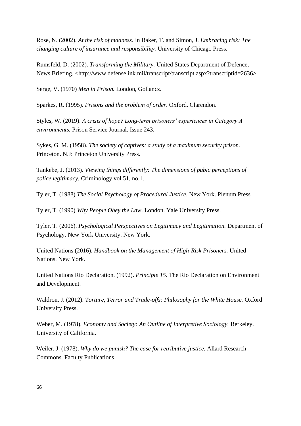Rose, N. (2002). *At the risk of madness.* In Baker, T. and Simon, J. *Embracing risk: The changing culture of insurance and responsibility.* University of Chicago Press.

Rumsfeld, D. (2002). *Transforming the Military.* United States Department of Defence, News Briefing. <http://www.defenselink.mil/transcript/transcript.aspx?transcriptid=2636>.

Serge, V. (1970) *Men in Prison.* London, Gollancz.

Sparkes, R. (1995). *Prisons and the problem of order*. Oxford. Clarendon.

Styles, W. (2019). *A crisis of hope? Long-term prisoners' experiences in Category A environments.* Prison Service Journal. Issue 243.

Sykes, G. M. (1958). *The society of captives: a study of a maximum security prison.*  Princeton. N.J: Princeton University Press.

Tankebe, J. (2013). *Viewing things differently: The dimensions of pubic perceptions of police legitimacy.* Criminology vol 51, no.1.

Tyler, T. (1988) *The Social Psychology of Procedural Justice.* New York. Plenum Press.

Tyler, T. (1990) *Why People Obey the Law*. London. Yale University Press.

Tyler, T. (2006). *Psychological Perspectives on Legitimacy and Legitimation.* Department of Psychology. New York University. New York.

United Nations (2016). *Handbook on the Management of High-Risk Prisoners.* United Nations. New York.

United Nations Rio Declaration. (1992). *Principle 15*. The Rio Declaration on Environment and Development.

Waldron, J. (2012). *Torture, Terror and Trade-offs: Philosophy for the White House.* Oxford University Press.

Weber, M. (1978). *Economy and Society: An Outline of Interpretive Sociology.* Berkeley. University of California.

Weiler, J. (1978). *Why do we punish? The case for retributive justice.* Allard Research Commons. Faculty Publications.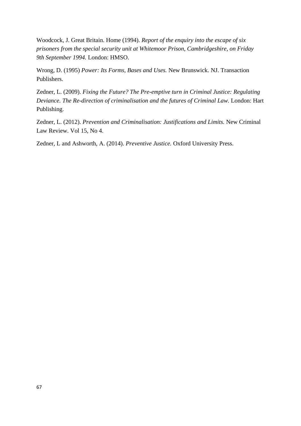Woodcock, J. Great Britain. Home (1994). *Report of the enquiry into the escape of six prisoners from the special security unit at Whitemoor Prison, Cambridgeshire, on Friday 9th September 1994.* London: HMSO.

Wrong, D. (1995) *Power: Its Forms, Bases and Uses.* New Brunswick. NJ. Transaction Publishers.

Zedner, L. (2009). *Fixing the Future? The Pre-emptive turn in Criminal Justice: Regulating Deviance. The Re-direction of criminalisation and the futures of Criminal Law.* London: Hart Publishing.

Zedner, L. (2012). *Prevention and Criminalisation: Justifications and Limits.* New Criminal Law Review. Vol 15, No 4.

Zedner, L and Ashworth, A. (2014). *Preventive Justice.* Oxford University Press.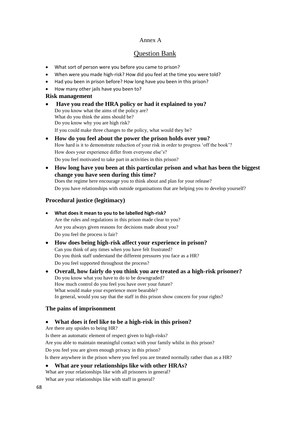# Annex A

# Question Bank

- What sort of person were you before you came to prison?
- When were you made high-risk? How did you feel at the time you were told?
- Had you been in prison before? How long have you been in this prison?
- How many other jails have you been to?

#### **Risk management**

- **Have you read the HRA policy or had it explained to you?** Do you know what the aims of the policy are? What do you think the aims should be? Do you know why you are high risk? If you could make three changes to the policy, what would they be?
- **How do you feel about the power the prison holds over you?** How hard is it to demonstrate reduction of your risk in order to progress 'off the book'? How does your experience differ from everyone else's? Do you feel motivated to take part in activities in this prison?
- **How long have you been at this particular prison and what has been the biggest change you have seen during this time?** Does the regime here encourage you to think about and plan for your release? Do you have relationships with outside organisations that are helping you to develop yourself?

# **Procedural justice (legitimacy)**

- **What does it mean to you to be labelled high-risk?** Are the rules and regulations in this prison made clear to you? Are you always given reasons for decisions made about you? Do you feel the process is fair?
- **How does being high-risk affect your experience in prison?** Can you think of any times when you have felt frustrated? Do you think staff understand the different pressures you face as a HR? Do you feel supported throughout the process?
- **Overall, how fairly do you think you are treated as a high-risk prisoner?** Do you know what you have to do to be downgraded? How much control do you feel you have over your future? What would make your experience more bearable? In general, would you say that the staff in this prison show concern for your rights?

# **The pains of imprisonment**

#### • **What does it feel like to be a high-risk in this prison?**

Are there any upsides to being HR?

Is there an automatic element of respect given to high-risks?

Are you able to maintain meaningful contact with your family whilst in this prison?

Do you feel you are given enough privacy in this prison?

Is there anywhere in the prison where you feel you are treated normally rather than as a HR?

#### • **What are your relationships like with other HRAs?**

What are your relationships like with all prisoners in general?